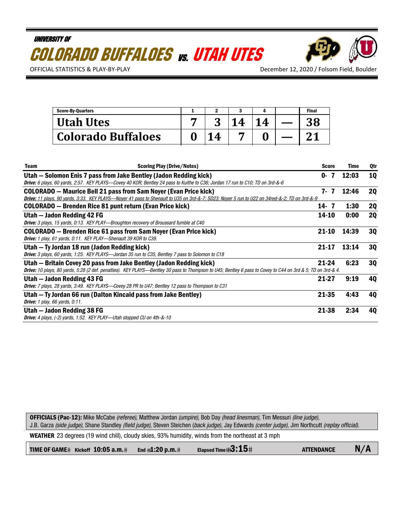# UNIVERSITY OF COLORADO BUFFALOES vs. UTAH UTES



OFFICIAL STATISTICS & PLAY-BY-PLAY **DECEMBER 12, 2020 / Folsom Field, Boulder** 

| <b>Score-By-Quarters</b>  |  |   | <b>Final</b> |
|---------------------------|--|---|--------------|
| <b>Utah Utes</b>          |  | Δ |              |
| <b>Colorado Buffaloes</b> |  |   |              |

| <b>Team</b>                           | <b>Scoring Play (Drive/Notes)</b>                                                                                                                           | <b>Score</b> |   | Time  | Qtr       |
|---------------------------------------|-------------------------------------------------------------------------------------------------------------------------------------------------------------|--------------|---|-------|-----------|
|                                       | Utah - Solomon Enis 7 pass from Jake Bentley (Jadon Redding kick)                                                                                           | 0-           | 7 | 12:03 | <b>10</b> |
|                                       | Drive: 6 plays, 60 yards, 2:57. KEY PLAYS—Covey 40 KOR; Bentley 24 pass to Kuithe to C36; Jordan 17 run to C10; TD on 3rd-&-6                               |              |   |       |           |
|                                       | COLORADO — Maurice Bell 21 pass from Sam Noyer (Evan Price kick)                                                                                            | 7. 7         |   | 12:46 | <b>2Q</b> |
|                                       | Drive: 11 plays, 90 yards, 3:33. KEY PLAYS—Nover 41 pass to Shenault to U35 on 3rd-&-7; SD23; Nover 5 run to U22 on 34red-&-2; TD on 3rd-&-9                |              |   |       |           |
|                                       | <b>COLORADO</b> - Brenden Rice 81 punt return (Evan Price kick)                                                                                             | $14 - 7$     |   | 1:30  | <b>2Q</b> |
| Utah – Jadon Redding 42 FG            |                                                                                                                                                             | 14-10        |   | 0:00  | <b>20</b> |
|                                       | <b>Drive:</b> 3 plays, 15 yards, 0:13. KEY PLAY—Broughton recovery of Broussard fumble at C40                                                               |              |   |       |           |
|                                       | COLORADO – Brenden Rice 61 pass from Sam Noyer (Evan Price kick)                                                                                            | $21 - 10$    |   | 14:39 | 30        |
|                                       | Drive: 1 play, 61 yards, 0:11. KEY PLAY—Shenault 39 KOR to C39.                                                                                             |              |   |       |           |
|                                       | Utah – Ty Jordan 18 run (Jadon Redding kick)                                                                                                                | $21 - 17$    |   | 13:14 | 30        |
|                                       | <b>Drive:</b> 3 plays, 60 yards, 1:25. KEY PLAYS—Jordan 35 run to C35, Bentley 7 pass to Solomon to C18                                                     |              |   |       |           |
|                                       | Utah – Britain Covey 20 pass from Jake Bentley (Jadon Redding kick)                                                                                         | 21-24        |   | 6:23  | 30        |
|                                       | Drive: 10 plays, 80 yards, 5:28 (2 def. penalties). KEY PLAYS—Bentley 30 pass to Thompson to U45; Bentley 6 pass to Covey to C44 on 3rd & 5; TD on 3rd-& 4. |              |   |       |           |
| Utah – Jadon Redding 43 FG            |                                                                                                                                                             | $21-27$      |   | 9:19  | 4Q        |
|                                       | <b>Drive:</b> 7 plays, 28 yards, 3:49. KEY PLAYS—Covey 28 PR to U47; Bentley 12 pass to Thompson to C31                                                     |              |   |       |           |
|                                       | Utah – Ty Jordan 66 run (Dalton Kincaid pass from Jake Bentley)                                                                                             | 21-35        |   | 4:43  | 40        |
| <b>Drive:</b> 1 play, 66 yards, 0:11. |                                                                                                                                                             |              |   |       |           |
| Utah - Jadon Redding 38 FG            |                                                                                                                                                             | 21-38        |   | 2:34  | 40        |
|                                       | <b>Drive:</b> 4 plays, (-2) yards, 1:52. KEY PLAY—Utah stopped CU on 4th-&-10                                                                               |              |   |       |           |

OFFICIALS (Pac-12): Mike McCabe (referee), Matthew Jordan (umpire), Bob Day (head linesman), Tim Messuri (line judge), J.B. Garza (side judge), Shane Standley (field judge), Steven Steichen (back judge), Jay Edwards (center judge), Jim Northcutt (replay official).

WEATHER 23 degrees (19 wind chill), cloudy skies, 93% humidity, winds from the northeast at 3 mph

|  | <b>TIME OF GAME#</b> Kickoff $10:05$ a.m.# End $#1:20$ p.m.# |  | Elapsed Time# $3:15+$ | <b>ATTENDANCE</b> | N/A |
|--|--------------------------------------------------------------|--|-----------------------|-------------------|-----|
|--|--------------------------------------------------------------|--|-----------------------|-------------------|-----|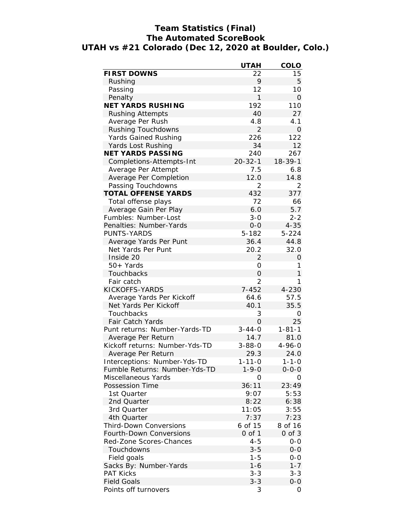### **Team Statistics (Final) The Automated ScoreBook UTAH vs #21 Colorado (Dec 12, 2020 at Boulder, Colo.)**

| 22<br>15<br>9<br>Rushing<br>5<br>Passing<br>12<br>10<br>1<br>Penalty<br>$\Omega$<br>NET YARDS RUSHING<br>192<br>110<br>40<br>27<br><b>Rushing Attempts</b><br>Average Per Rush<br>4.8<br>4.1<br>$\overline{2}$<br>Rushing Touchdowns<br>$\mathbf 0$<br>226<br>122<br>Yards Gained Rushing<br>34<br>12<br>Yards Lost Rushing<br>NET YARDS PASSING<br>240<br>267<br>$20 - 32 - 1$<br>$18 - 39 - 1$<br>Completions-Attempts-Int<br>7.5<br>6.8<br>Average Per Attempt<br>Average Per Completion<br>12.0<br>14.8<br>$\overline{2}$<br>Passing Touchdowns<br>2<br>432<br>TOTAL OFFENSE YARDS<br>377<br>72<br>Total offense plays<br>66<br>Average Gain Per Play<br>6.0<br>5.7<br>Fumbles: Number-Lost<br>$3 - 0$<br>$2 - 2$<br>$4 - 35$<br>Penalties: Number-Yards<br>$0 - 0$<br>5-182<br>PUNTS-YARDS<br>$5 - 224$<br>Average Yards Per Punt<br>36.4<br>44.8<br>Net Yards Per Punt<br>32.0<br>20.2<br>Inside 20<br>$\overline{2}$<br>$\Omega$<br>1<br>50+ Yards<br>0<br>1<br>$\overline{O}$<br>Touchbacks<br>Fair catch<br>$\overline{2}$<br>1<br>KICKOFFS-YARDS<br>$7 - 452$<br>$4 - 230$<br>Average Yards Per Kickoff<br>64.6<br>57.5<br>40.1<br>35.5<br>Net Yards Per Kickoff<br>Touchbacks<br>3<br>O<br>0<br>25<br>Fair Catch Yards<br>$3 - 44 - 0$<br>$1 - 81 - 1$<br>Punt returns: Number-Yards-TD<br>14.7<br>81.0<br>Average Per Return<br>$3 - 88 - 0$<br>Kickoff returns: Number-Yds-TD<br>$4 - 96 - 0$<br>29.3<br>24.0<br>Average Per Return<br>Interceptions: Number-Yds-TD<br>$1 - 11 - 0$<br>$1 - 1 - 0$<br>Fumble Returns: Number-Yds-TD<br>$1 - 9 - 0$<br>$0 - 0 - 0$<br>Miscellaneous Yards<br>O<br>O<br>Possession Time<br>36:11<br>23:49<br>5:53<br>1st Quarter<br>9:07<br>2nd Quarter<br>8:22<br>6:38<br>3:55<br>3rd Quarter<br>11:05<br>7:37<br>7:23<br>4th Quarter<br><b>Third-Down Conversions</b><br>6 of 15<br>8 of 16<br>$0$ of $1$<br>$0$ of $3$<br>Fourth-Down Conversions<br>Red-Zone Scores-Chances<br>$4 - 5$<br>$0 - 0$<br>Touchdowns<br>$3 - 5$<br>$0-0$<br>$1 - 5$<br>Field goals<br>$0 - 0$<br>$1 - 7$<br>Sacks By: Number-Yards<br>$1 - 6$<br>$3 - 3$<br>$3 - 3$<br><b>PAT Kicks</b><br><b>Field Goals</b><br>$3 - 3$<br>$0 - 0$<br>0 |                      | <b>UTAH</b> | COLO |
|--------------------------------------------------------------------------------------------------------------------------------------------------------------------------------------------------------------------------------------------------------------------------------------------------------------------------------------------------------------------------------------------------------------------------------------------------------------------------------------------------------------------------------------------------------------------------------------------------------------------------------------------------------------------------------------------------------------------------------------------------------------------------------------------------------------------------------------------------------------------------------------------------------------------------------------------------------------------------------------------------------------------------------------------------------------------------------------------------------------------------------------------------------------------------------------------------------------------------------------------------------------------------------------------------------------------------------------------------------------------------------------------------------------------------------------------------------------------------------------------------------------------------------------------------------------------------------------------------------------------------------------------------------------------------------------------------------------------------------------------------------------------------------------------------------------------------------------------------------------------------------------------------------------------------------------------------------------------------------------------------------------------------------------------------------------------------------------------------------------------------------------------------------------------|----------------------|-------------|------|
|                                                                                                                                                                                                                                                                                                                                                                                                                                                                                                                                                                                                                                                                                                                                                                                                                                                                                                                                                                                                                                                                                                                                                                                                                                                                                                                                                                                                                                                                                                                                                                                                                                                                                                                                                                                                                                                                                                                                                                                                                                                                                                                                                                    | <b>FIRST DOWNS</b>   |             |      |
|                                                                                                                                                                                                                                                                                                                                                                                                                                                                                                                                                                                                                                                                                                                                                                                                                                                                                                                                                                                                                                                                                                                                                                                                                                                                                                                                                                                                                                                                                                                                                                                                                                                                                                                                                                                                                                                                                                                                                                                                                                                                                                                                                                    |                      |             |      |
|                                                                                                                                                                                                                                                                                                                                                                                                                                                                                                                                                                                                                                                                                                                                                                                                                                                                                                                                                                                                                                                                                                                                                                                                                                                                                                                                                                                                                                                                                                                                                                                                                                                                                                                                                                                                                                                                                                                                                                                                                                                                                                                                                                    |                      |             |      |
|                                                                                                                                                                                                                                                                                                                                                                                                                                                                                                                                                                                                                                                                                                                                                                                                                                                                                                                                                                                                                                                                                                                                                                                                                                                                                                                                                                                                                                                                                                                                                                                                                                                                                                                                                                                                                                                                                                                                                                                                                                                                                                                                                                    |                      |             |      |
|                                                                                                                                                                                                                                                                                                                                                                                                                                                                                                                                                                                                                                                                                                                                                                                                                                                                                                                                                                                                                                                                                                                                                                                                                                                                                                                                                                                                                                                                                                                                                                                                                                                                                                                                                                                                                                                                                                                                                                                                                                                                                                                                                                    |                      |             |      |
|                                                                                                                                                                                                                                                                                                                                                                                                                                                                                                                                                                                                                                                                                                                                                                                                                                                                                                                                                                                                                                                                                                                                                                                                                                                                                                                                                                                                                                                                                                                                                                                                                                                                                                                                                                                                                                                                                                                                                                                                                                                                                                                                                                    |                      |             |      |
|                                                                                                                                                                                                                                                                                                                                                                                                                                                                                                                                                                                                                                                                                                                                                                                                                                                                                                                                                                                                                                                                                                                                                                                                                                                                                                                                                                                                                                                                                                                                                                                                                                                                                                                                                                                                                                                                                                                                                                                                                                                                                                                                                                    |                      |             |      |
|                                                                                                                                                                                                                                                                                                                                                                                                                                                                                                                                                                                                                                                                                                                                                                                                                                                                                                                                                                                                                                                                                                                                                                                                                                                                                                                                                                                                                                                                                                                                                                                                                                                                                                                                                                                                                                                                                                                                                                                                                                                                                                                                                                    |                      |             |      |
|                                                                                                                                                                                                                                                                                                                                                                                                                                                                                                                                                                                                                                                                                                                                                                                                                                                                                                                                                                                                                                                                                                                                                                                                                                                                                                                                                                                                                                                                                                                                                                                                                                                                                                                                                                                                                                                                                                                                                                                                                                                                                                                                                                    |                      |             |      |
|                                                                                                                                                                                                                                                                                                                                                                                                                                                                                                                                                                                                                                                                                                                                                                                                                                                                                                                                                                                                                                                                                                                                                                                                                                                                                                                                                                                                                                                                                                                                                                                                                                                                                                                                                                                                                                                                                                                                                                                                                                                                                                                                                                    |                      |             |      |
|                                                                                                                                                                                                                                                                                                                                                                                                                                                                                                                                                                                                                                                                                                                                                                                                                                                                                                                                                                                                                                                                                                                                                                                                                                                                                                                                                                                                                                                                                                                                                                                                                                                                                                                                                                                                                                                                                                                                                                                                                                                                                                                                                                    |                      |             |      |
|                                                                                                                                                                                                                                                                                                                                                                                                                                                                                                                                                                                                                                                                                                                                                                                                                                                                                                                                                                                                                                                                                                                                                                                                                                                                                                                                                                                                                                                                                                                                                                                                                                                                                                                                                                                                                                                                                                                                                                                                                                                                                                                                                                    |                      |             |      |
|                                                                                                                                                                                                                                                                                                                                                                                                                                                                                                                                                                                                                                                                                                                                                                                                                                                                                                                                                                                                                                                                                                                                                                                                                                                                                                                                                                                                                                                                                                                                                                                                                                                                                                                                                                                                                                                                                                                                                                                                                                                                                                                                                                    |                      |             |      |
|                                                                                                                                                                                                                                                                                                                                                                                                                                                                                                                                                                                                                                                                                                                                                                                                                                                                                                                                                                                                                                                                                                                                                                                                                                                                                                                                                                                                                                                                                                                                                                                                                                                                                                                                                                                                                                                                                                                                                                                                                                                                                                                                                                    |                      |             |      |
|                                                                                                                                                                                                                                                                                                                                                                                                                                                                                                                                                                                                                                                                                                                                                                                                                                                                                                                                                                                                                                                                                                                                                                                                                                                                                                                                                                                                                                                                                                                                                                                                                                                                                                                                                                                                                                                                                                                                                                                                                                                                                                                                                                    |                      |             |      |
|                                                                                                                                                                                                                                                                                                                                                                                                                                                                                                                                                                                                                                                                                                                                                                                                                                                                                                                                                                                                                                                                                                                                                                                                                                                                                                                                                                                                                                                                                                                                                                                                                                                                                                                                                                                                                                                                                                                                                                                                                                                                                                                                                                    |                      |             |      |
|                                                                                                                                                                                                                                                                                                                                                                                                                                                                                                                                                                                                                                                                                                                                                                                                                                                                                                                                                                                                                                                                                                                                                                                                                                                                                                                                                                                                                                                                                                                                                                                                                                                                                                                                                                                                                                                                                                                                                                                                                                                                                                                                                                    |                      |             |      |
|                                                                                                                                                                                                                                                                                                                                                                                                                                                                                                                                                                                                                                                                                                                                                                                                                                                                                                                                                                                                                                                                                                                                                                                                                                                                                                                                                                                                                                                                                                                                                                                                                                                                                                                                                                                                                                                                                                                                                                                                                                                                                                                                                                    |                      |             |      |
|                                                                                                                                                                                                                                                                                                                                                                                                                                                                                                                                                                                                                                                                                                                                                                                                                                                                                                                                                                                                                                                                                                                                                                                                                                                                                                                                                                                                                                                                                                                                                                                                                                                                                                                                                                                                                                                                                                                                                                                                                                                                                                                                                                    |                      |             |      |
|                                                                                                                                                                                                                                                                                                                                                                                                                                                                                                                                                                                                                                                                                                                                                                                                                                                                                                                                                                                                                                                                                                                                                                                                                                                                                                                                                                                                                                                                                                                                                                                                                                                                                                                                                                                                                                                                                                                                                                                                                                                                                                                                                                    |                      |             |      |
|                                                                                                                                                                                                                                                                                                                                                                                                                                                                                                                                                                                                                                                                                                                                                                                                                                                                                                                                                                                                                                                                                                                                                                                                                                                                                                                                                                                                                                                                                                                                                                                                                                                                                                                                                                                                                                                                                                                                                                                                                                                                                                                                                                    |                      |             |      |
|                                                                                                                                                                                                                                                                                                                                                                                                                                                                                                                                                                                                                                                                                                                                                                                                                                                                                                                                                                                                                                                                                                                                                                                                                                                                                                                                                                                                                                                                                                                                                                                                                                                                                                                                                                                                                                                                                                                                                                                                                                                                                                                                                                    |                      |             |      |
|                                                                                                                                                                                                                                                                                                                                                                                                                                                                                                                                                                                                                                                                                                                                                                                                                                                                                                                                                                                                                                                                                                                                                                                                                                                                                                                                                                                                                                                                                                                                                                                                                                                                                                                                                                                                                                                                                                                                                                                                                                                                                                                                                                    |                      |             |      |
|                                                                                                                                                                                                                                                                                                                                                                                                                                                                                                                                                                                                                                                                                                                                                                                                                                                                                                                                                                                                                                                                                                                                                                                                                                                                                                                                                                                                                                                                                                                                                                                                                                                                                                                                                                                                                                                                                                                                                                                                                                                                                                                                                                    |                      |             |      |
|                                                                                                                                                                                                                                                                                                                                                                                                                                                                                                                                                                                                                                                                                                                                                                                                                                                                                                                                                                                                                                                                                                                                                                                                                                                                                                                                                                                                                                                                                                                                                                                                                                                                                                                                                                                                                                                                                                                                                                                                                                                                                                                                                                    |                      |             |      |
|                                                                                                                                                                                                                                                                                                                                                                                                                                                                                                                                                                                                                                                                                                                                                                                                                                                                                                                                                                                                                                                                                                                                                                                                                                                                                                                                                                                                                                                                                                                                                                                                                                                                                                                                                                                                                                                                                                                                                                                                                                                                                                                                                                    |                      |             |      |
|                                                                                                                                                                                                                                                                                                                                                                                                                                                                                                                                                                                                                                                                                                                                                                                                                                                                                                                                                                                                                                                                                                                                                                                                                                                                                                                                                                                                                                                                                                                                                                                                                                                                                                                                                                                                                                                                                                                                                                                                                                                                                                                                                                    |                      |             |      |
|                                                                                                                                                                                                                                                                                                                                                                                                                                                                                                                                                                                                                                                                                                                                                                                                                                                                                                                                                                                                                                                                                                                                                                                                                                                                                                                                                                                                                                                                                                                                                                                                                                                                                                                                                                                                                                                                                                                                                                                                                                                                                                                                                                    |                      |             |      |
|                                                                                                                                                                                                                                                                                                                                                                                                                                                                                                                                                                                                                                                                                                                                                                                                                                                                                                                                                                                                                                                                                                                                                                                                                                                                                                                                                                                                                                                                                                                                                                                                                                                                                                                                                                                                                                                                                                                                                                                                                                                                                                                                                                    |                      |             |      |
|                                                                                                                                                                                                                                                                                                                                                                                                                                                                                                                                                                                                                                                                                                                                                                                                                                                                                                                                                                                                                                                                                                                                                                                                                                                                                                                                                                                                                                                                                                                                                                                                                                                                                                                                                                                                                                                                                                                                                                                                                                                                                                                                                                    |                      |             |      |
|                                                                                                                                                                                                                                                                                                                                                                                                                                                                                                                                                                                                                                                                                                                                                                                                                                                                                                                                                                                                                                                                                                                                                                                                                                                                                                                                                                                                                                                                                                                                                                                                                                                                                                                                                                                                                                                                                                                                                                                                                                                                                                                                                                    |                      |             |      |
|                                                                                                                                                                                                                                                                                                                                                                                                                                                                                                                                                                                                                                                                                                                                                                                                                                                                                                                                                                                                                                                                                                                                                                                                                                                                                                                                                                                                                                                                                                                                                                                                                                                                                                                                                                                                                                                                                                                                                                                                                                                                                                                                                                    |                      |             |      |
|                                                                                                                                                                                                                                                                                                                                                                                                                                                                                                                                                                                                                                                                                                                                                                                                                                                                                                                                                                                                                                                                                                                                                                                                                                                                                                                                                                                                                                                                                                                                                                                                                                                                                                                                                                                                                                                                                                                                                                                                                                                                                                                                                                    |                      |             |      |
|                                                                                                                                                                                                                                                                                                                                                                                                                                                                                                                                                                                                                                                                                                                                                                                                                                                                                                                                                                                                                                                                                                                                                                                                                                                                                                                                                                                                                                                                                                                                                                                                                                                                                                                                                                                                                                                                                                                                                                                                                                                                                                                                                                    |                      |             |      |
|                                                                                                                                                                                                                                                                                                                                                                                                                                                                                                                                                                                                                                                                                                                                                                                                                                                                                                                                                                                                                                                                                                                                                                                                                                                                                                                                                                                                                                                                                                                                                                                                                                                                                                                                                                                                                                                                                                                                                                                                                                                                                                                                                                    |                      |             |      |
|                                                                                                                                                                                                                                                                                                                                                                                                                                                                                                                                                                                                                                                                                                                                                                                                                                                                                                                                                                                                                                                                                                                                                                                                                                                                                                                                                                                                                                                                                                                                                                                                                                                                                                                                                                                                                                                                                                                                                                                                                                                                                                                                                                    |                      |             |      |
|                                                                                                                                                                                                                                                                                                                                                                                                                                                                                                                                                                                                                                                                                                                                                                                                                                                                                                                                                                                                                                                                                                                                                                                                                                                                                                                                                                                                                                                                                                                                                                                                                                                                                                                                                                                                                                                                                                                                                                                                                                                                                                                                                                    |                      |             |      |
|                                                                                                                                                                                                                                                                                                                                                                                                                                                                                                                                                                                                                                                                                                                                                                                                                                                                                                                                                                                                                                                                                                                                                                                                                                                                                                                                                                                                                                                                                                                                                                                                                                                                                                                                                                                                                                                                                                                                                                                                                                                                                                                                                                    |                      |             |      |
|                                                                                                                                                                                                                                                                                                                                                                                                                                                                                                                                                                                                                                                                                                                                                                                                                                                                                                                                                                                                                                                                                                                                                                                                                                                                                                                                                                                                                                                                                                                                                                                                                                                                                                                                                                                                                                                                                                                                                                                                                                                                                                                                                                    |                      |             |      |
|                                                                                                                                                                                                                                                                                                                                                                                                                                                                                                                                                                                                                                                                                                                                                                                                                                                                                                                                                                                                                                                                                                                                                                                                                                                                                                                                                                                                                                                                                                                                                                                                                                                                                                                                                                                                                                                                                                                                                                                                                                                                                                                                                                    |                      |             |      |
|                                                                                                                                                                                                                                                                                                                                                                                                                                                                                                                                                                                                                                                                                                                                                                                                                                                                                                                                                                                                                                                                                                                                                                                                                                                                                                                                                                                                                                                                                                                                                                                                                                                                                                                                                                                                                                                                                                                                                                                                                                                                                                                                                                    |                      |             |      |
|                                                                                                                                                                                                                                                                                                                                                                                                                                                                                                                                                                                                                                                                                                                                                                                                                                                                                                                                                                                                                                                                                                                                                                                                                                                                                                                                                                                                                                                                                                                                                                                                                                                                                                                                                                                                                                                                                                                                                                                                                                                                                                                                                                    |                      |             |      |
|                                                                                                                                                                                                                                                                                                                                                                                                                                                                                                                                                                                                                                                                                                                                                                                                                                                                                                                                                                                                                                                                                                                                                                                                                                                                                                                                                                                                                                                                                                                                                                                                                                                                                                                                                                                                                                                                                                                                                                                                                                                                                                                                                                    |                      |             |      |
|                                                                                                                                                                                                                                                                                                                                                                                                                                                                                                                                                                                                                                                                                                                                                                                                                                                                                                                                                                                                                                                                                                                                                                                                                                                                                                                                                                                                                                                                                                                                                                                                                                                                                                                                                                                                                                                                                                                                                                                                                                                                                                                                                                    |                      |             |      |
|                                                                                                                                                                                                                                                                                                                                                                                                                                                                                                                                                                                                                                                                                                                                                                                                                                                                                                                                                                                                                                                                                                                                                                                                                                                                                                                                                                                                                                                                                                                                                                                                                                                                                                                                                                                                                                                                                                                                                                                                                                                                                                                                                                    |                      |             |      |
|                                                                                                                                                                                                                                                                                                                                                                                                                                                                                                                                                                                                                                                                                                                                                                                                                                                                                                                                                                                                                                                                                                                                                                                                                                                                                                                                                                                                                                                                                                                                                                                                                                                                                                                                                                                                                                                                                                                                                                                                                                                                                                                                                                    |                      |             |      |
|                                                                                                                                                                                                                                                                                                                                                                                                                                                                                                                                                                                                                                                                                                                                                                                                                                                                                                                                                                                                                                                                                                                                                                                                                                                                                                                                                                                                                                                                                                                                                                                                                                                                                                                                                                                                                                                                                                                                                                                                                                                                                                                                                                    |                      |             |      |
|                                                                                                                                                                                                                                                                                                                                                                                                                                                                                                                                                                                                                                                                                                                                                                                                                                                                                                                                                                                                                                                                                                                                                                                                                                                                                                                                                                                                                                                                                                                                                                                                                                                                                                                                                                                                                                                                                                                                                                                                                                                                                                                                                                    |                      |             |      |
|                                                                                                                                                                                                                                                                                                                                                                                                                                                                                                                                                                                                                                                                                                                                                                                                                                                                                                                                                                                                                                                                                                                                                                                                                                                                                                                                                                                                                                                                                                                                                                                                                                                                                                                                                                                                                                                                                                                                                                                                                                                                                                                                                                    |                      |             |      |
|                                                                                                                                                                                                                                                                                                                                                                                                                                                                                                                                                                                                                                                                                                                                                                                                                                                                                                                                                                                                                                                                                                                                                                                                                                                                                                                                                                                                                                                                                                                                                                                                                                                                                                                                                                                                                                                                                                                                                                                                                                                                                                                                                                    |                      |             |      |
|                                                                                                                                                                                                                                                                                                                                                                                                                                                                                                                                                                                                                                                                                                                                                                                                                                                                                                                                                                                                                                                                                                                                                                                                                                                                                                                                                                                                                                                                                                                                                                                                                                                                                                                                                                                                                                                                                                                                                                                                                                                                                                                                                                    |                      |             |      |
|                                                                                                                                                                                                                                                                                                                                                                                                                                                                                                                                                                                                                                                                                                                                                                                                                                                                                                                                                                                                                                                                                                                                                                                                                                                                                                                                                                                                                                                                                                                                                                                                                                                                                                                                                                                                                                                                                                                                                                                                                                                                                                                                                                    |                      |             |      |
|                                                                                                                                                                                                                                                                                                                                                                                                                                                                                                                                                                                                                                                                                                                                                                                                                                                                                                                                                                                                                                                                                                                                                                                                                                                                                                                                                                                                                                                                                                                                                                                                                                                                                                                                                                                                                                                                                                                                                                                                                                                                                                                                                                    | Points off turnovers | 3           |      |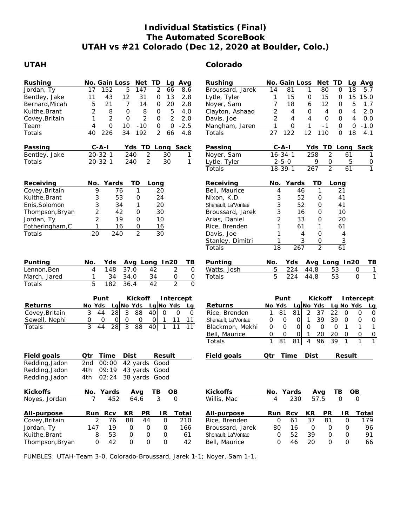### **Individual Statistics (Final) The Automated ScoreBook UTAH vs #21 Colorado (Dec 12, 2020 at Boulder, Colo.)**

### **UTAH Colorado**

| Rushing<br>Jordan, Ty<br>Bentley, Jake<br>Bernard, Micah<br>Kuithe, Brant<br>Covey, Britain<br>Team<br>Totals<br>Passing<br>Bentley, Jake<br>Totals | TD<br>No. Gain Loss<br>Net<br>Avg<br>Lq<br>152<br>5<br>$\overline{2}$<br>17<br>147<br>66<br>8.6<br>43<br>12<br>31<br>13<br>11<br>$\mathsf O$<br>2.8<br>21<br>$\overline{7}$<br>5<br>14<br>$\mathsf{O}$<br>20<br>2.8<br>2<br>8<br>$\mathbf 0$<br>8<br>5<br>4.0<br>0<br>2<br>$\mathbf 0$<br>2<br>2<br>2.0<br>1<br>0<br>0<br>10<br>$-2.5$<br>4<br>$-10$<br>0<br>0<br>226<br>34<br>$\overline{2}$<br>40<br>192<br>66<br>4.8<br>$C - A - I$<br>TD<br>Long Sack<br>Yds<br>$20 - 32 - 1$<br>$\overline{2}$<br>240<br>30<br>1<br>$\overline{2}$<br>30<br>$20 - 32 - 1$<br>240<br>1 | Rushing<br>Broussard, Jarek<br>Lytle, Tyler<br>Noyer, Sam<br>Clayton, Ashaad<br>Davis, Joe<br>Mangham, Jaren<br>Totals<br>Passing<br>Noyer, Sam<br>Lytle, Tyler              | No. Gain Loss<br>Net<br>ТD<br>Avg<br>La<br>80<br>18<br>14<br>81<br>0<br>5.7<br>1<br>15<br>15<br>15.0<br>1<br>$\mathsf{O}\xspace$<br>0<br>15<br>7<br>12<br>5<br>18<br>6<br>0<br>1.7<br>2<br>2.0<br>4<br>$\mathbf 0$<br>4<br>$\mathbf 0$<br>4<br>$\overline{2}$<br>$\overline{4}$<br>4<br>O<br>$\Omega$<br>4<br>0.0<br>1<br>O<br>1<br>$-1$<br>0<br>0<br>$-1.0$<br>122<br>12<br>110<br>27<br>$\mathsf{O}$<br>18<br>4.1<br>$C - A - I$<br>Yds<br>TD<br>Long Sack<br>$\overline{2}$<br>$16 - 34 - 1$<br>258<br>61<br>5<br>$2 - 5 - 0$<br>9<br>0<br>$\frac{0}{1}$                                                                         |
|-----------------------------------------------------------------------------------------------------------------------------------------------------|----------------------------------------------------------------------------------------------------------------------------------------------------------------------------------------------------------------------------------------------------------------------------------------------------------------------------------------------------------------------------------------------------------------------------------------------------------------------------------------------------------------------------------------------------------------------------|------------------------------------------------------------------------------------------------------------------------------------------------------------------------------|-------------------------------------------------------------------------------------------------------------------------------------------------------------------------------------------------------------------------------------------------------------------------------------------------------------------------------------------------------------------------------------------------------------------------------------------------------------------------------------------------------------------------------------------------------------------------------------------------------------------------------------|
| Receiving<br>Covey, Britain<br>Kuithe, Brant<br>Enis, Solomon<br>Thompson, Bryan<br>Jordan, Ty<br>Fotheringham, C<br>Totals                         | Yards<br>TD<br>No.<br>Long<br>$\mathbf{1}$<br>9<br>76<br>20<br>53<br>3<br>24<br>0<br>3<br>34<br>20<br>1<br>$\overline{\mathbf{c}}$<br>42<br>$\mathsf{O}$<br>30<br>$\overline{2}$<br>19<br>$\mathsf{O}$<br>10<br>1<br>16<br>0<br>16<br>$\overline{2}$<br>$\overline{30}$<br>20<br>240                                                                                                                                                                                                                                                                                       | Totals<br>Receiving<br>Bell, Maurice<br>Nixon, K.D.<br>Shenault, La'Vontae<br>Broussard, Jarek<br>Arias, Daniel<br>Rice, Brenden<br>Davis, Joe<br>Stanley, Dimitri<br>Totals | $\overline{2}$<br>61<br>$18 - 39 - 1$<br>267<br>Yards<br>TD<br>No.<br>Long<br>$\mathbf{1}$<br>46<br>21<br>4<br>3<br>52<br>41<br>0<br>3<br>52<br>41<br>0<br>3<br>0<br>10<br>16<br>$\overline{2}$<br>33<br>0<br>20<br>1<br>1<br>61<br>61<br>1<br>0<br>4<br>4<br>1<br>3<br>$\mathsf O$<br>$\overline{3}$<br>$\overline{2}$<br>61<br>$\overline{18}$<br>267                                                                                                                                                                                                                                                                             |
| Punting<br>Lennon, Ben<br>March, Jared<br>Totals                                                                                                    | No.<br>Yds<br>Avg Long In20<br>TВ<br>37.0<br>$\overline{2}$<br>148<br>42<br>$\mathbf 0$<br>4<br>$\overline{O}$<br>34<br>34.0<br>$\overline{0}$<br>1<br>34<br>$\overline{2}$<br>5<br>182<br>$\overline{42}$<br>36.4<br>$\Omega$                                                                                                                                                                                                                                                                                                                                             | Punting<br>Watts, Josh<br>Totals                                                                                                                                             | Yds<br>Avg Long In20<br>TB<br>No.<br>5<br>224<br>44.8<br>53<br>$\mathbf{1}$<br>0<br>5<br>$\mathbf{1}$<br>224<br>53<br>$\overline{O}$<br>44.8                                                                                                                                                                                                                                                                                                                                                                                                                                                                                        |
| Returns<br>Covey, Britain<br>Sewell, Nephi<br>Totals                                                                                                | Punt<br>Kickoff<br>Intercept<br>Lg No Yds<br>Lg No Yds<br>No Yds<br>La<br>$\mathfrak{Z}$<br>44<br>28<br>3<br>40<br>88<br>$\mathbf 0$<br>$\mathbf 0$<br>$\overline{0}$<br>0<br>$\mathsf{O}$<br>$\mathbf{O}$<br>$\mathbf 0$<br>$\mathbf{O}$<br>0<br>11<br>11<br>1<br>3<br>$\overline{3}$<br>88<br>44<br>28<br>40<br>11<br>11<br>$\mathbf{1}$                                                                                                                                                                                                                                 | Returns<br>Rice, Brenden<br>Shenault, La'Vontae<br>Blackmon, Mekhi<br>Bell, Maurice<br>Totals                                                                                | Punt<br>Kickoff<br>Intercept<br>$Lg$ No Yds<br>Lg No Yds<br>No Yds<br>Lg<br>81<br>81<br>$\overline{2}$<br>37<br>22<br>$\mathbf 0$<br>$\mathbf 0$<br>O<br>1<br>$\mathbf{1}$<br>39<br>39<br>$\mathsf{O}\xspace$<br>$\mathbf 0$<br> 0 <br>$\mathbf{O}$<br>0<br>$\mathsf{O}\xspace$<br>$\mathsf{O}$<br>$\mathbf 0$<br>$\mathbf 0$<br>$\mathsf{O}$<br>$\circ$<br>$\Omega$<br>1<br>$\mathbf{1}$<br>$\mathbf{1}$<br>0<br>$\begin{array}{c} 0 \\ \hline \end{array}$<br>$\mathsf O$<br>$\mathsf{O}$<br>$\mathbf{1}$<br>20<br>20<br>$\mathsf O$<br> 0 <br>39<br>$\overline{1}$<br>1<br>81<br>96<br>$\mathbf{1}$<br>1<br>81<br>$\overline{4}$ |
| Field goals<br>Redding, Jadon<br>Redding, Jadon<br>Redding, Jadon                                                                                   | Time<br>Dist<br>Result<br>Qtr<br>2nd<br>00:00<br>42 yards<br>Good<br>09:19<br>43 yards Good<br>4th<br>4th 02:24 38 yards Good                                                                                                                                                                                                                                                                                                                                                                                                                                              | Field goals                                                                                                                                                                  | Dist<br>Qtr<br>Time<br>Result                                                                                                                                                                                                                                                                                                                                                                                                                                                                                                                                                                                                       |
| Kickoffs<br>Noyes, Jordan                                                                                                                           | No. Yards<br>Avg<br>TВ<br>OВ<br>$\overline{3}$<br>$\overline{7}$<br>452<br>64.6<br>$\Omega$                                                                                                                                                                                                                                                                                                                                                                                                                                                                                | Kickoffs<br>Willis, Mac                                                                                                                                                      | No. Yards<br>TВ<br>OB<br>Avg<br>57.5<br>4<br>230<br>$\Omega$<br>$\Omega$                                                                                                                                                                                                                                                                                                                                                                                                                                                                                                                                                            |
| All-purpose<br>Covey, Britain<br>Jordan, Ty<br>Kuithe, Brant<br>Thompson, Bryan                                                                     | KR<br><b>PR</b><br>IR<br>Total<br>Run<br><b>Rcv</b><br>$\overline{2}$<br>44<br>76<br>88<br>$\mathbf 0$<br>210<br>147<br>19<br>$\mathsf{O}\xspace$<br>$\mathsf{O}\xspace$<br>O<br>166<br>8<br>53<br>${\mathsf O}$<br>$\mathsf{O}\xspace$<br>61<br>O<br>0<br>42<br>$\mathsf{O}$<br>$\mathsf{O}$<br>$\mathsf O$<br>42                                                                                                                                                                                                                                                         | All-purpose<br>Rice, Brenden<br>Broussard, Jarek<br>Shenault, La'Vontae<br>Bell, Maurice                                                                                     | Rcv<br>KR<br>PR<br>IR<br>Total<br>Run<br>37<br>81<br>$\mathsf O$<br>$\mathbf 0$<br>61<br>179<br>16<br>$\mathsf O$<br>$\mathsf{O}\xspace$<br>80<br>O<br>96<br>52<br>39<br>91<br>$\mathsf{O}\xspace$<br>$\mathbf 0$<br>$\mathbf 0$<br>46<br>20<br>$\mathbf{O}$<br>$\mathbf 0$<br>66<br>0                                                                                                                                                                                                                                                                                                                                              |

FUMBLES: UTAH-Team 3-0. Colorado-Broussard, Jarek 1-1; Noyer, Sam 1-1.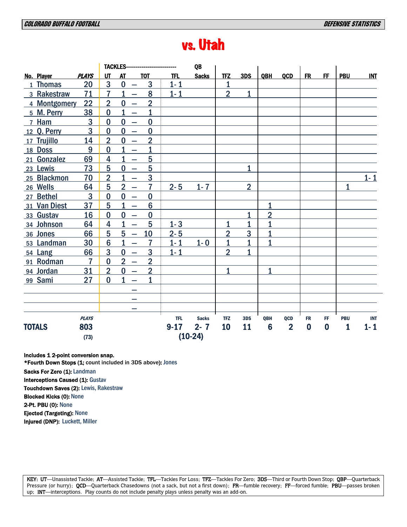# vs. Utah

|               |                |                 | <b>TACKLES--</b>                           |                 |            | QB           |                |                |                 |                |           |           |                |            |
|---------------|----------------|-----------------|--------------------------------------------|-----------------|------------|--------------|----------------|----------------|-----------------|----------------|-----------|-----------|----------------|------------|
| No. Player    | <b>PLAYS</b>   | UT              | <b>AT</b>                                  | <b>TOT</b>      | <b>TFL</b> | <b>Sacks</b> | <b>TFZ</b>     | 3DS            | QBH             | <b>QCD</b>     | <b>FR</b> | <b>FF</b> | <b>PBU</b>     | IM         |
| 1 Thomas      | 20             | 3               | $\bf{0}$<br>$\overline{\phantom{0}}$       | 3               | $1 - 1$    |              | $\mathbf{1}$   |                |                 |                |           |           |                |            |
| 3 Rakestraw   | 71             | $\overline{7}$  | 1<br>$\overline{\phantom{0}}$              | 8               | $1 - 1$    |              | $\overline{2}$ | $\mathbf{1}$   |                 |                |           |           |                |            |
| 4 Montgomery  | 22             | $\overline{2}$  | $\bf{0}$<br>$\overline{\phantom{0}}$       | $\overline{2}$  |            |              |                |                |                 |                |           |           |                |            |
| 5 M. Perry    | 38             | $\bf{0}$        | $\mathbf{1}$<br>$\overline{\phantom{0}}$   | 1               |            |              |                |                |                 |                |           |           |                |            |
| 7 Ham         | 3              | $\bf{0}$        | $\bf{0}$<br>$\overline{\phantom{0}}$       | $\bf{0}$        |            |              |                |                |                 |                |           |           |                |            |
| 12 Q. Perry   | $\overline{3}$ | $\bf{0}$        | $\bf{0}$<br>$\overline{\phantom{0}}$       | $\bf{0}$        |            |              |                |                |                 |                |           |           |                |            |
| 17 Trujillo   | 14             | $\overline{2}$  | $\bf{0}$<br>$\overline{\phantom{0}}$       | $\overline{2}$  |            |              |                |                |                 |                |           |           |                |            |
| 18 Doss       | 9              | $\bf{0}$        | 1<br>$\overline{\phantom{0}}$              | 1               |            |              |                |                |                 |                |           |           |                |            |
| 21 Gonzalez   | 69             | 4               | $\overline{1}$<br>$\overline{\phantom{0}}$ | $5\phantom{1}$  |            |              |                |                |                 |                |           |           |                |            |
| 23 Lewis      | 73             | 5               | $\bf{0}$<br>$\overline{\phantom{0}}$       | 5               |            |              |                | $\mathbf{1}$   |                 |                |           |           |                |            |
| 25 Blackmon   | 70             | $\overline{2}$  | $\overline{1}$<br>$\overline{\phantom{0}}$ | 3               |            |              |                |                |                 |                |           |           |                | $1 - 1$    |
| 26 Wells      | 64             | 5               | $\overline{2}$<br>$\overline{\phantom{0}}$ | $\overline{7}$  | $2 - 5$    | $1 - 7$      |                | $\overline{2}$ |                 |                |           |           | $\overline{1}$ |            |
| 27 Bethel     | 3              | $\bf{0}$        | $\bf{0}$<br>$\overline{\phantom{0}}$       | $\bf{0}$        |            |              |                |                |                 |                |           |           |                |            |
| 31 Van Diest  | 37             | 5               | $\mathbf{1}$<br>$\overline{\phantom{0}}$   | $6\phantom{1}6$ |            |              |                |                | 1               |                |           |           |                |            |
| 33 Gustav     | 16             | $\bf{0}$        | $\bf{0}$<br>$\overline{\phantom{0}}$       | $\bf{0}$        |            |              |                | $\mathbf{1}$   | $\overline{2}$  |                |           |           |                |            |
| 34 Johnson    | 64             | 4               | $\mathbf{1}$<br>$\overline{\phantom{0}}$   | 5               | $1 - 3$    |              | $\overline{1}$ | $\overline{1}$ | 1               |                |           |           |                |            |
| 36 Jones      | 66             | 5               | 5<br>$\overline{\phantom{0}}$              | 10              | $2 - 5$    |              | $\overline{2}$ | 3              | 1               |                |           |           |                |            |
| 53 Landman    | 30             | $6\phantom{1}6$ | $\mathbf 1$<br>$\overline{\phantom{0}}$    | $\overline{7}$  | $1 - 1$    | $1 - 0$      | $\mathbf 1$    |                | 1               |                |           |           |                |            |
| 54 Lang       | 66             | 3               | $\bf{0}$<br>$\overline{\phantom{0}}$       | 3               | $1 - 1$    |              | $\overline{2}$ | 1              |                 |                |           |           |                |            |
| 91 Rodman     | $\overline{7}$ | $\bf{0}$        | $\overline{2}$<br>$\overline{\phantom{m}}$ | $\overline{2}$  |            |              |                |                |                 |                |           |           |                |            |
| 94 Jordan     | 31             | $\overline{2}$  | $\bf{0}$<br>$\overline{\phantom{0}}$       | $\overline{2}$  |            |              | $\mathbf{1}$   |                | $\mathbf{1}$    |                |           |           |                |            |
| 99 Sami       | 27             | $\bf{0}$        | 1                                          | 1               |            |              |                |                |                 |                |           |           |                |            |
|               |                |                 |                                            |                 |            |              |                |                |                 |                |           |           |                |            |
|               |                |                 | —                                          |                 |            |              |                |                |                 |                |           |           |                |            |
|               |                |                 |                                            |                 |            |              |                |                |                 |                |           |           |                |            |
|               | <b>PLAYS</b>   |                 |                                            |                 | <b>TFL</b> | <b>Sacks</b> | <b>TFZ</b>     | 3DS            | QBH             | QCD            | <b>FR</b> | FF        | <b>PBU</b>     | <b>INT</b> |
| <b>TOTALS</b> | 803            |                 |                                            |                 | $9 - 17$   | $2 - 7$      | 10             | 11             | $6\phantom{1}6$ | $\overline{2}$ | $\bf{0}$  | $\bf{0}$  | 1              | $1 - 1$    |
|               | (73)           |                 |                                            |                 |            | $(10-24)$    |                |                |                 |                |           |           |                |            |

Includes 1 2-point conversion snap.

\*Fourth Down Stops (1; count included in 3DS above): Jones

Sacks For Zero (1): Landman

Interceptions Caused (1): Gustav

Touchdown Saves (2): Lewis, Rakestraw

Blocked Kicks (0): None

2-Pt. PBU (0): None

Ejected (Targeting): None

Injured (DNP): Luckett, Miller

KEY: UT—Unassisted Tackle; AT—Assisted Tackle; TFL—Tackles For Loss; TFZ—Tackles For Zero; 3DS—Third or Fourth Down Stop; QBP—Quarterback Pressure (or hurry); QCD—Quarterback Chasedowns (not a sack, but not a first down); FR—fumble recovery; FF—forced fumble; PBU—passes broken up; INT—interceptions. Play counts do not include penalty plays unless penalty was an add-on.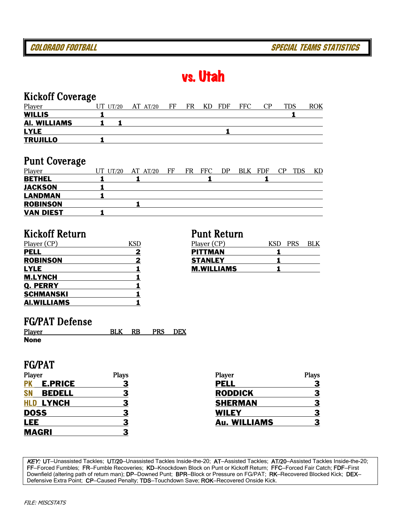# vs. Utah

### Kickoff Coverage

| Player              | . .<br>$UT$ $UT/20$ | $AT$ $AT/20$ | FF | FR | KD | <b>FDF</b> | FFC | CP | TDS | ROK |
|---------------------|---------------------|--------------|----|----|----|------------|-----|----|-----|-----|
| <b>WILLIS</b>       |                     |              |    |    |    |            |     |    |     |     |
| <b>AI. WILLIAMS</b> |                     |              |    |    |    |            |     |    |     |     |
| <b>LYLE</b>         |                     |              |    |    |    |            |     |    |     |     |
| <b>TRUJILLO</b>     |                     |              |    |    |    |            |     |    |     |     |

### Punt Coverage

| Player           | . . | UT UT/20 | AT $AT/20$ | FF | FR | <b>FFC</b> | DP | BLK FDF | CP | <b>TDS</b> | KD |
|------------------|-----|----------|------------|----|----|------------|----|---------|----|------------|----|
| <b>BETHEL</b>    |     |          |            |    |    |            |    |         |    |            |    |
| <b>JACKSON</b>   |     |          |            |    |    |            |    |         |    |            |    |
| <b>LANDMAN</b>   |     |          |            |    |    |            |    |         |    |            |    |
| <b>ROBINSON</b>  |     |          |            |    |    |            |    |         |    |            |    |
| <b>VAN DIEST</b> |     |          |            |    |    |            |    |         |    |            |    |

### Kickoff Return Punt Return

| Player (CP)        | <b>KSD</b> | Player (CP)       | <b>KSD</b> |
|--------------------|------------|-------------------|------------|
| <b>PELL</b>        | 2          | <b>PITTMAN</b>    |            |
| <b>ROBINSON</b>    |            | <b>STANLEY</b>    |            |
| <b>LYLE</b>        |            | <b>M.WILLIAMS</b> |            |
| <b>M.LYNCH</b>     |            |                   |            |
| <b>Q. PERRY</b>    |            |                   |            |
| <b>SCHMANSKI</b>   |            |                   |            |
| <b>AI.WILLIAMS</b> |            |                   |            |

| <u>Player (CP)</u> | Player (CP)       | <b>KSF</b><br>PRS | BLK |
|--------------------|-------------------|-------------------|-----|
| PELL               | <b>PITTMAN</b>    |                   |     |
| <b>ROBINSON</b>    | <b>STANLEY</b>    |                   |     |
| LYLE               | <b>M.WILLIAMS</b> |                   |     |

### FG/PAT Defense

| Player      | BLK | <b>RB</b> | <b>PRS</b> | <b>DEX</b> |
|-------------|-----|-----------|------------|------------|
| <b>None</b> |     |           |            |            |

### FG/PAT

| Player       |                  | <b>Plays</b> | Player              | <b>Plays</b> |
|--------------|------------------|--------------|---------------------|--------------|
| <b>PK</b>    | <b>E.PRICE</b>   |              | <b>PELL</b>         |              |
| <b>SN</b>    | <b>BEDELL</b>    |              | <b>RODDICK</b>      |              |
|              | <b>HLD LYNCH</b> |              | <b>SHERMAN</b>      |              |
| <b>DOSS</b>  |                  |              | <b>WILEY</b>        |              |
| <b>LEE</b>   |                  |              | <b>Au. WILLIAMS</b> |              |
| <b>MAGRI</b> |                  |              |                     |              |

KEY: UT-Unassisted Tackles; UT/20-Unassisted Tackles Inside-the-20; AT-Assisted Tackles; AT/20-Assisted Tackles Inside-the-20; FF—Forced Fumbles; FR—Fumble Recoveries; KD—Knockdown Block on Punt or Kickoff Return; FFC—Forced Fair Catch; FDF—First Downfield (altering path of return man); DP—Downed Punt; BPR—Block or Pressure on FG/PAT; RK—Recovered Blocked Kick; DEX— Defensive Extra Point; CP-Caused Penalty; TDS-Touchdown Save; ROK-Recovered Onside Kick.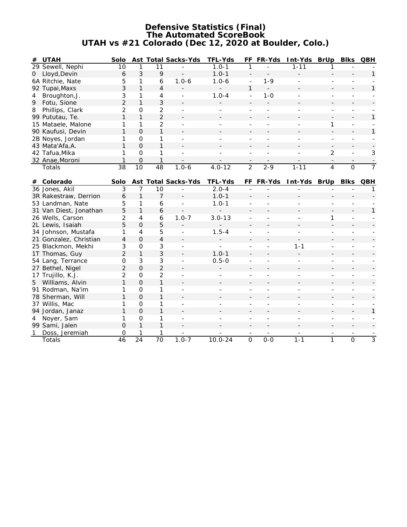#### **Defensive Statistics (Final) The Automated ScoreBook UTAH vs #21 Colorado (Dec 12, 2020 at Boulder, Colo.)**

| #              | UTAH               | Solo          |          |               | Ast Total Sacks-Yds      | TFL-Yds                  | FF.                      | FR-Yds                   | Int-Yds                  | <b>BrUp</b>              | <b>BIKS</b> | <b>QBH</b> |
|----------------|--------------------|---------------|----------|---------------|--------------------------|--------------------------|--------------------------|--------------------------|--------------------------|--------------------------|-------------|------------|
|                | 29 Sewell, Nephi   | 10            |          |               |                          | $1.0 - 1$                |                          |                          | $1 - 11$                 |                          |             |            |
| $\overline{O}$ | Lloyd, Devin       | 6             | 3        | 9             |                          | $1.0 - 1$                | $\overline{\phantom{a}}$ |                          |                          |                          |             |            |
|                | 6A Ritchie, Nate   | 5             |          | 6             | $1.0 - 6$                | $1.0 - 6$                | $\overline{\phantom{a}}$ | $1 - 9$                  |                          |                          |             |            |
|                | 92 Tupai, Maxs     | 3             |          | 4             | $\overline{\phantom{a}}$ | $\overline{\phantom{a}}$ |                          | $\overline{\phantom{a}}$ | $\overline{\phantom{a}}$ | $\overline{\phantom{0}}$ |             |            |
| 4              | Broughton, J.      | 3             |          | 4             |                          | $1.0 - 4$                | ۰                        | $1-0$                    |                          |                          |             |            |
|                | 9 Fotu, Sione      | $\mathcal{P}$ |          | 3             |                          |                          |                          |                          |                          |                          |             |            |
| 8              | Phillips, Clark    | $\mathcal{P}$ | $\Omega$ | $\mathcal{P}$ |                          |                          |                          |                          |                          |                          |             |            |
|                | 99 Pututau, Te.    |               |          | 2             | $\overline{\phantom{a}}$ | -                        | $\overline{\phantom{a}}$ |                          |                          |                          |             |            |
|                | 15 Mataele, Malone |               |          | $\mathcal{P}$ | $\overline{\phantom{0}}$ |                          |                          |                          |                          |                          |             |            |
|                | 90 Kaufusi, Devin  |               | $\Omega$ |               | $\overline{\phantom{0}}$ |                          | $\overline{\phantom{a}}$ |                          |                          | $\overline{\phantom{0}}$ |             |            |
|                | 2B Noyes, Jordan   |               | $\Omega$ |               |                          |                          |                          |                          |                          |                          |             |            |
|                | 43 Mata'Afa, A.    |               | $\Omega$ |               |                          |                          |                          |                          |                          |                          |             |            |
|                | 42 Tafua, Mika     |               | $\Omega$ |               |                          |                          |                          |                          |                          | $\mathcal{D}$            |             | 3          |
|                | 32 Anae, Moroni    |               | $\Omega$ |               | $\overline{\phantom{a}}$ | -                        | -                        |                          |                          |                          |             |            |
|                | Totals             | 38            | 10       | 48            | $1.0 - 6$                | $4.0 - 12$               | $\mathcal{D}$            | $2 - 9$                  | $1 - 11$                 | 4                        | $\Omega$    |            |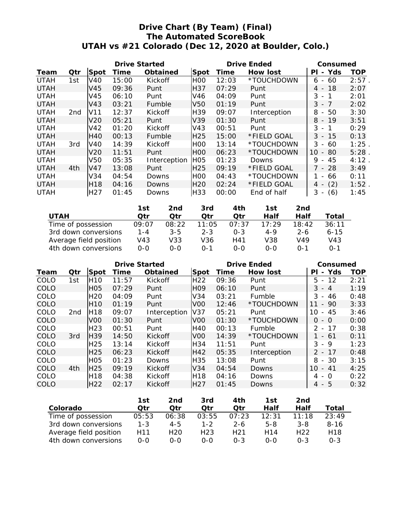### **Drive Chart (By Team) (Final) The Automated ScoreBook UTAH vs #21 Colorado (Dec 12, 2020 at Boulder, Colo.)**

|             |                 |                  | Drive Started |              |                  | Drive Ended | Consumed     |                                       |            |
|-------------|-----------------|------------------|---------------|--------------|------------------|-------------|--------------|---------------------------------------|------------|
| Team        | Qtr             | Spot             | Time          | Obtained     | Spot             | Time        | How lost     | Yds<br>ΡI<br>$\overline{\phantom{0}}$ | <b>TOP</b> |
| <b>UTAH</b> | 1st             | V40              | 15:00         | Kickoff      | H <sub>0</sub>   | 12:03       | *TOUCHDOWN   | 60<br>6<br>$\overline{\phantom{a}}$   | 2:57       |
| <b>UTAH</b> |                 | V45              | 09:36         | Punt         | H37              | 07:29       | Punt         | 18<br>4 -                             | 2:07       |
| <b>UTAH</b> |                 | V45              | 06:10         | Punt         | V46              | 04:09       | Punt         | 3<br>-1<br>$\overline{\phantom{a}}$   | 2:01       |
| <b>UTAH</b> |                 | V43              | 03:21         | Fumble       | V50              | 01:19       | Punt         | $3 - 7$                               | 2:02       |
| <b>UTAH</b> | 2 <sub>nd</sub> | V <sub>11</sub>  | 12:37         | Kickoff      | H39              | 09:07       | Interception | 8<br>50<br>$\sim$                     | 3:30       |
| <b>UTAH</b> |                 | V20              | 05:21         | Punt         | V39.             | 01:30       | Punt         | $8 - 19$                              | 3:51       |
| <b>UTAH</b> |                 | V42              | 01:20         | Kickoff      | V43              | 00:51       | Punt         | 3<br>1<br>$\overline{\phantom{a}}$    | 0:29       |
| <b>UTAH</b> |                 | H40              | 00:13         | Fumble       | H <sub>25</sub>  | 15:00       | *FIELD GOAL  | 3<br>15<br>$\sim$                     | 0:13       |
| <b>UTAH</b> | 3rd             | V40              | 14:39         | Kickoff      | H <sub>0</sub>   | 13:14       | *TOUCHDOWN   | 3<br>60<br>$\overline{\phantom{a}}$   | 1:25       |
| <b>UTAH</b> |                 | V20              | 11:51         | Punt         | H <sub>0</sub>   | 06:23       | *TOUCHDOWN   | 10<br>80<br>$\sim$                    | 5:28       |
| <b>UTAH</b> |                 | V50              | 05:35         | Interception | H <sub>O</sub> 5 | 01:23       | Downs        | 9<br>45<br>$\sim$                     | 4:12       |
| <b>UTAH</b> | 4th             | V47              | 13:08         | Punt         | H <sub>25</sub>  | 09:19       | *FIELD GOAL  | 7 - 28                                | 3:49       |
| <b>UTAH</b> |                 | V34              | 04:54         | Downs        | H <sub>0</sub>   | 04:43       | *TOUCHDOWN   | 66<br>$\overline{\phantom{a}}$        | 0:11       |
| <b>UTAH</b> |                 | H <sub>18</sub>  | 04:16         | Downs        | H <sub>20</sub>  | 02:24       | *FIELD GOAL  | (2)<br>4                              | 1:52       |
| <b>UTAH</b> |                 | H <sub>2</sub> 7 | 01:45         | Downs        | H33              | 00:00       | End of half  | 3<br>(6)<br>$\overline{\phantom{a}}$  | 1:45       |

|                        | 1st     | 2nd     | 3rd     | 4th     | 1st     | 2nd          |          |
|------------------------|---------|---------|---------|---------|---------|--------------|----------|
| <b>UTAH</b>            | Otr     | ∩tr     | ∩tr     | ∩tr     | Half    | Half         | Total    |
| Time of possession     | 09:07   | 08:22   | 11:05   | 07:37   | 17.29   | 18:42        | 36:11    |
| 3rd down conversions   | $1 - 4$ | $3 - 5$ | $2 - 3$ | $0 - 3$ | $4 - 9$ | $2 - 6$      | $6 - 15$ |
| Average field position | V43     | V33     | V36     | H41     | V38     | V49          | V43      |
| 4th down conversions   | $0 - 0$ | ი-ი     | በ-1     | റ-റ     | $O-O$   | $\Omega - 1$ | $0 - 1$  |

|      |     |                  | Drive Started |                |                 | Drive Ended | Consumed     |                                       |            |
|------|-----|------------------|---------------|----------------|-----------------|-------------|--------------|---------------------------------------|------------|
| Team | Qtr | Spot             | Time          | Obtained       | Spot            | Time        | How lost     | Yds<br>ΡI<br>$\overline{\phantom{0}}$ | <b>TOP</b> |
| COLO | 1st | <b>H10</b>       | 11:57         | Kickoff        | H <sub>22</sub> | 09:36       | Punt         | $-12$<br>5.                           | 2:21       |
| COLO |     | H <sub>0</sub> 5 | 07:29         | Punt           | <b>HO9</b>      | 06:10       | Punt         | $3 - 4$                               | 1:19       |
| COLO |     | H <sub>20</sub>  | 04:09         | Punt           | V34             | 03:21       | Fumble       | 3<br>-46<br>$\overline{\phantom{0}}$  | 0:48       |
| COLO |     | H <sub>10</sub>  | 01:19         | Punt           | V <sub>00</sub> | 12:46       | *TOUCHDOWN   | $-90$                                 | 3:33       |
| COLO | 2nd | H <sub>18</sub>  | 09:07         | Interception   | V <sub>37</sub> | 05:21       | Punt         | 45<br>10<br>$-$                       | 3:46       |
| COLO |     | V <sub>00</sub>  | 01:30         | Punt           | V <sub>00</sub> | 01:30       | *TOUCHDOWN   | $-0$<br>0                             | 0:00       |
| COLO |     | H <sub>23</sub>  | 00:51         | Punt           | <b>H40</b>      | 00:13       | Fumble       | $\mathcal{P}$<br>$-17$                | 0:38       |
| COLO | 3rd | H <sub>39</sub>  | 14:50         | <b>Kickoff</b> | V <sub>00</sub> | 14:39       | *TOUCHDOWN   | - 61                                  | 0:11       |
| COLO |     | H <sub>25</sub>  | 13:14         | Kickoff        | H34             | 11:51       | Punt         | 3<br>- 9                              | 1:23       |
| COLO |     | H <sub>25</sub>  | 06:23         | Kickoff        | H42             | 05:35       | Interception | $2 - 17$                              | 0:48       |
| COLO |     | H <sub>0</sub> 5 | 01:23         | Downs          | <b>H35</b>      | 13:08       | Punt         | $-30$<br>8                            | 3:15       |
| COLO | 4th | H <sub>25</sub>  | 09:19         | Kickoff        | V34             | 04:54       | Downs        | 10<br>41<br>$\overline{\phantom{a}}$  | 4:25       |
| COLO |     | H <sub>18</sub>  | 04:38         | Kickoff        | <b>H18</b>      | 04:16       | Downs        | - 0<br>4                              | 0:22       |
| COLO |     | H <sub>22</sub>  | 02:17         | Kickoff        | H27             | 01:45       | Downs        | $4 - 5$                               | 0:32       |
|      |     |                  |               |                |                 |             |              |                                       |            |

|                        | 1st     | 2nd             | 3rd     | 4th             | 1st     | 2nd             |                 |
|------------------------|---------|-----------------|---------|-----------------|---------|-----------------|-----------------|
| Colorado               | Otr.    | ∩tr             | ∩tr     | ∩tr             | Half    | Half            | Total           |
| Time of possession     | 05:53   | 06:38           | 03:55   | 07:23           | 12:31   | $11 \cdot 18$   | 23:49           |
| 3rd down conversions   | $1 - 3$ | $4 - 5$         | $1 - 2$ | $2 - 6$         | $5 - 8$ | $3 - 8$         | $8 - 16$        |
| Average field position | H11     | H <sub>20</sub> | H23     | H <sub>21</sub> | H14     | H <sub>22</sub> | H <sub>18</sub> |
| 4th down conversions   | 0-0     | 0-0             | $0 - 0$ | $0 - 3$         | $0 - 0$ | $0 - 3$         | $0 - 3$         |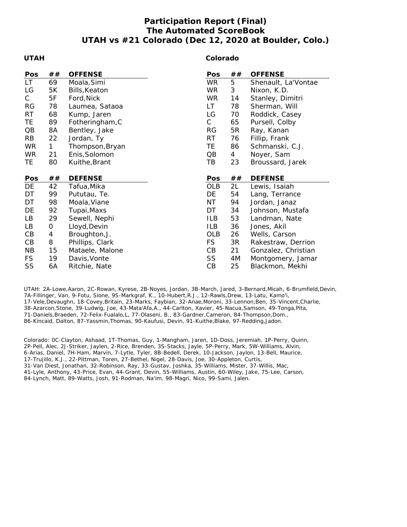### **Participation Report (Final) The Automated ScoreBook UTAH vs #21 Colorado (Dec 12, 2020 at Boulder, Colo.)**

#### **UTAH**

#### **Colorado**

| Pos       | ##           | <b>OFFENSE</b>  | Pos          | ## | <b>OFFENSE</b>      |
|-----------|--------------|-----------------|--------------|----|---------------------|
| LT.       | 69           | Moala, Simi     | <b>WR</b>    | 5  | Shenault, La'Vontae |
| LG        | 5K           | Bills, Keaton   | <b>WR</b>    | 3  | Nixon, K.D.         |
| С         | 5F           | Ford, Nick      | <b>WR</b>    | 14 | Stanley, Dimitri    |
| <b>RG</b> | 78           | Laumea, Sataoa  | LT.          | 78 | Sherman, Will       |
| RT        | 68           | Kump, Jaren     | LG           | 70 | Roddick, Casey      |
| TE        | 89           | Fotheringham, C | $\mathsf{C}$ | 65 | Pursell, Colby      |
| QB        | 8A           | Bentley, Jake   | RG           | 5R | Ray, Kanan          |
| <b>RB</b> | 22           | Jordan, Ty      | RT           | 76 | Fillip, Frank       |
| <b>WR</b> | $\mathbf{1}$ | Thompson, Bryan | TE           | 86 | Schmanski, C.J.     |
| <b>WR</b> | 21           | Enis, Solomon   | QB           | 4  | Noyer, Sam          |
| TE        | 80           | Kuithe, Brant   | TВ           | 23 | Broussard, Jarek    |
|           |              |                 |              |    |                     |
|           |              |                 |              |    |                     |
| Pos       | ##           | <b>DEFENSE</b>  | Pos          | ## | <b>DEFENSE</b>      |
| DE        | 42           | Tafua, Mika     | OLB          | 2L | Lewis, Isaiah       |
| DT        | 99           | Pututau, Te.    | DE           | 54 | Lang, Terrance      |
| DT        | 98           | Moala, Viane    | ΝT           | 94 | Jordan, Janaz       |
| DE        | 92           | Tupai, Maxs     | DT           | 34 | Johnson, Mustafa    |
| LB        | 29           | Sewell, Nephi   | ILB          | 53 | Landman, Nate       |
| LB        | 0            | Lloyd, Devin    | ILB          | 36 | Jones, Akil         |
| CB        | 4            | Broughton, J.   | OLB          | 26 | Wells, Carson       |
| CB        | 8            | Phillips, Clark | <b>FS</b>    | 3R | Rakestraw, Derrion  |
| <b>NB</b> | 15           | Mataele, Malone | CВ           | 21 | Gonzalez, Christian |
| <b>FS</b> | 19           | Davis, Vonte    | SS           | 4M | Montgomery, Jamar   |

UTAH: 2A-Lowe,Aaron, 2C-Rowan, Kyrese, 2B-Noyes, Jordan, 3B-March, Jared, 3-Bernard,Micah, 6-Brumfield,Devin, 7A-Fillinger, Van, 9-Fotu, Sione, 9S-Markgraf, K., 10-Hubert,R.J., 12-Rawls,Drew, 13-Latu, Kamo'i, 17-Vele,Devaughn, 18-Covey,Britain, 23-Marks, Faybian, 32-Anae,Moroni, 33-Lennon,Ben, 35-Vincent,Charlie, 38-Azarcon,Stone, 39-Ludwig, Joe, 43-Mata'Afa,A., 44-Carlton, Xavier, 45-Nacua,Samson, 49-Tonga,Pita, 71-Daniels,Braeden, 72-Felix-Fualalo,L, 77-Olaseni, B., 83-Gardner,Cameron, 84-Thompson,Dom., 86-Kincaid, Dalton, 87-Yassmin,Thomas, 90-Kaufusi, Devin, 91-Kuithe,Blake, 97-Redding,Jadon.

Colorado: 0C-Clayton, Ashaad, 1T-Thomas, Guy, 1-Mangham, Jaren, 1D-Doss, Jeremiah, 1P-Perry, Quinn, 2P-Pell, Alec, 2J-Striker, Jaylen, 2-Rice, Brenden, 3S-Stacks, Jayle, 5P-Perry, Mark, 5W-Williams, Alvin, 6-Arias, Daniel, 7H-Ham, Marvin, 7-Lytle, Tyler, 8B-Bedell, Derek, 10-Jackson, Jaylon, 13-Bell, Maurice, 17-Trujillo, K.J., 22-Pittman, Toren, 27-Bethel, Nigel, 28-Davis, Joe, 30-Appleton, Curtis, 31-Van Diest, Jonathan, 32-Robinson, Ray, 33-Gustav, Joshka, 35-Williams, Mister, 37-Willis, Mac, 41-Lyle, Anthony, 43-Price, Evan, 44-Grant, Devin, 55-Williams, Austin, 60-Wiley, Jake, 75-Lee, Carson, 84-Lynch, Matt, 89-Watts, Josh, 91-Rodman, Na'im, 98-Magri, Nico, 99-Sami, Jalen.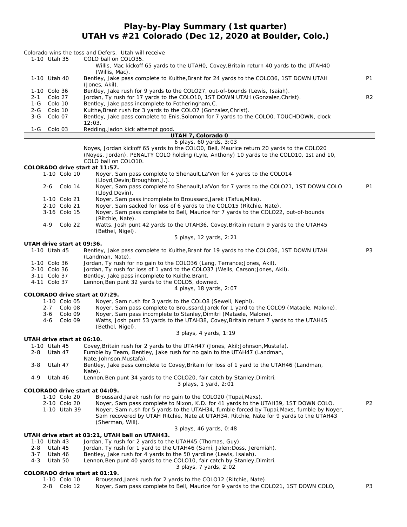**Play-by-Play Summary (1st quarter)**

**UTAH vs #21 Colorado (Dec 12, 2020 at Boulder, Colo.)**

|                |                    |                            | Colorado wins the toss and Defers. Utah will receive                                                                                           |                |
|----------------|--------------------|----------------------------|------------------------------------------------------------------------------------------------------------------------------------------------|----------------|
|                | 1-10 Utah 35       |                            | COLO ball on COLO35.<br>Willis, Mac kickoff 65 yards to the UTAHO, Covey, Britain return 40 yards to the UTAH4O                                |                |
|                |                    |                            | (Willis, Mac).                                                                                                                                 | <b>P1</b>      |
|                | 1-10 Utah 40       |                            | Bentley, Jake pass complete to Kuithe, Brant for 24 yards to the COLO36, 1ST DOWN UTAH<br>(Jones, Akil).                                       |                |
|                | 1-10 Colo 36       |                            | Bentley, Jake rush for 9 yards to the COLO27, out-of-bounds (Lewis, Isaiah).                                                                   |                |
| $2 - 1$<br>1-G | Colo 27<br>Colo 10 |                            | Jordan, Ty rush for 17 yards to the COLO10, 1ST DOWN UTAH (Gonzalez, Christ).<br>Bentley, Jake pass incomplete to Fotheringham, C.             | R <sub>2</sub> |
| 2-G            | Colo 10            |                            | Kuithe, Brant rush for 3 yards to the COLO7 (Gonzalez, Christ).                                                                                |                |
| $3-G$          | Colo 07            |                            | Bentley, Jake pass complete to Enis, Solomon for 7 yards to the COLOO, TOUCHDOWN, clock                                                        |                |
|                |                    |                            | 12:03.                                                                                                                                         |                |
| 1-G            | Colo 03            |                            | Redding, Jadon kick attempt good.<br>UTAH 7, Colorado 0                                                                                        |                |
|                |                    |                            | 6 plays, 60 yards, 3:03                                                                                                                        |                |
|                |                    |                            | Noyes, Jordan kickoff 65 yards to the COLOO, Bell, Maurice return 20 yards to the COLO20                                                       |                |
|                |                    |                            | (Noyes, Jordan), PENALTY COLO holding (Lyle, Anthony) 10 yards to the COLO10, 1st and 10,                                                      |                |
|                |                    |                            | COLO ball on COLO10.<br>COLORADO drive start at 11:57.                                                                                         |                |
|                |                    | 1-10 Colo 10               | Noyer, Sam pass complete to Shenault, La'Von for 4 yards to the COLO14                                                                         |                |
|                |                    |                            | (Lloyd, Devin; Broughton, J.).                                                                                                                 |                |
|                |                    | 2-6 Colo 14                | Noyer, Sam pass complete to Shenault, La'Von for 7 yards to the COLO21, 1ST DOWN COLO<br>(Lloyd, Devin).                                       | P <sub>1</sub> |
|                |                    | 1-10 Colo 21               | Noyer, Sam pass incomplete to Broussard, Jarek (Tafua, Mika).                                                                                  |                |
|                |                    | 2-10 Colo 21               | Nover, Sam sacked for loss of 6 yards to the COLO15 (Ritchie, Nate).                                                                           |                |
|                |                    | 3-16 Colo 15               | Noyer, Sam pass complete to Bell, Maurice for 7 yards to the COLO22, out-of-bounds                                                             |                |
|                | $4 - 9$            | Colo 22                    | (Ritchie, Nate).<br>Watts, Josh punt 42 yards to the UTAH36, Covey, Britain return 9 yards to the UTAH45                                       |                |
|                |                    |                            | (Bethel, Nigel).<br>5 plays, 12 yards, 2:21                                                                                                    |                |
|                |                    | UTAH drive start at 09:36. |                                                                                                                                                |                |
|                | 1-10 Utah 45       |                            | Bentley, Jake pass complete to Kuithe, Brant for 19 yards to the COLO36, 1ST DOWN UTAH<br>(Landman, Nate).                                     | P <sub>3</sub> |
|                | 1-10 Colo 36       |                            | Jordan, Ty rush for no gain to the COLO36 (Lang, Terrance; Jones, Akil).                                                                       |                |
|                | 2-10 Colo 36       |                            | Jordan, Ty rush for loss of 1 yard to the COLO37 (Wells, Carson; Jones, Akil).                                                                 |                |
|                | 3-11 Colo 37       |                            | Bentley, Jake pass incomplete to Kuithe, Brant.                                                                                                |                |
|                | 4-11 Colo 37       |                            | Lennon, Ben punt 32 yards to the COLO5, downed.<br>4 plays, 18 yards, 2:07                                                                     |                |
|                |                    |                            | COLORADO drive start at 07:29.                                                                                                                 |                |
|                |                    | 1-10 Colo 05               | Noyer, Sam rush for 3 yards to the COLO8 (Sewell, Nephi).                                                                                      |                |
|                | $2 - 7$            | Colo 08                    | Noyer, Sam pass complete to Broussard, Jarek for 1 yard to the COLO9 (Mataele, Malone).                                                        |                |
|                | $3 - 6$            | Colo 09<br>Colo 09         | Noyer, Sam pass incomplete to Stanley, Dimitri (Mataele, Malone).                                                                              |                |
|                | 4-6                |                            | Watts, Josh punt 53 yards to the UTAH38, Covey, Britain return 7 yards to the UTAH45<br>(Bethel, Nigel).                                       |                |
|                |                    |                            | 3 plays, 4 yards, 1:19                                                                                                                         |                |
|                |                    | UTAH drive start at 06:10. |                                                                                                                                                |                |
|                |                    |                            | 1-10 Utah 45 Covey, Britain rush for 2 yards to the UTAH47 (Jones, Akil; Johnson, Mustafa)                                                     |                |
| 2-8            | Utah 47            |                            | Fumble by Team, Bentley, Jake rush for no gain to the UTAH47 (Landman,<br>Nate; Johnson, Mustafa).                                             |                |
| 3-8            | Utah 47            |                            | Bentley, Jake pass complete to Covey, Britain for loss of 1 yard to the UTAH46 (Landman,                                                       |                |
| $4 - 9$        | Utah 46            |                            | Nate).<br>Lennon, Ben punt 34 yards to the COLO20, fair catch by Stanley, Dimitri.                                                             |                |
|                |                    |                            | 3 plays, 1 yard, 2:01<br>COLORADO drive start at 04:09.                                                                                        |                |
|                |                    | 1-10 Colo 20               | Broussard, Jarek rush for no gain to the COLO20 (Tupai, Maxs).                                                                                 |                |
|                |                    | 2-10 Colo 20               | Noyer, Sam pass complete to Nixon, K.D. for 41 yards to the UTAH39, 1ST DOWN COLO.                                                             | P <sub>2</sub> |
|                |                    | 1-10 Utah 39               | Noyer, Sam rush for 5 yards to the UTAH34, fumble forced by Tupai, Maxs, fumble by Noyer,                                                      |                |
|                |                    |                            | Sam recovered by UTAH Ritchie, Nate at UTAH34, Ritchie, Nate for 9 yards to the UTAH43                                                         |                |
|                |                    |                            | (Sherman, Will).<br>3 plays, 46 yards, 0:48                                                                                                    |                |
|                |                    |                            | UTAH drive start at 03:21, UTAH ball on UTAH43.                                                                                                |                |
|                | 1-10 Utah 43       |                            | Jordan, Ty rush for 2 yards to the UTAH45 (Thomas, Guy).                                                                                       |                |
| 2-8            | Utah 45            |                            | Jordan, Ty rush for 1 yard to the UTAH46 (Sami, Jalen; Doss, Jeremiah).                                                                        |                |
| $3 - 7$<br>4-3 | Utah 46<br>Utah 50 |                            | Bentley, Jake rush for 4 yards to the 50 yardline (Lewis, Isaiah).<br>Lennon, Ben punt 40 yards to the COLO10, fair catch by Stanley, Dimitri. |                |
|                |                    |                            | 3 plays, 7 yards, 2:02                                                                                                                         |                |
|                |                    |                            | COLORADO drive start at 01:19.                                                                                                                 |                |
|                |                    | 1-10 Colo 10               | Broussard, Jarek rush for 2 yards to the COLO12 (Ritchie, Nate).                                                                               |                |

2-8 Colo 12 Noyer, Sam pass complete to Bell, Maurice for 9 yards to the COLO21, 1ST DOWN COLO, P3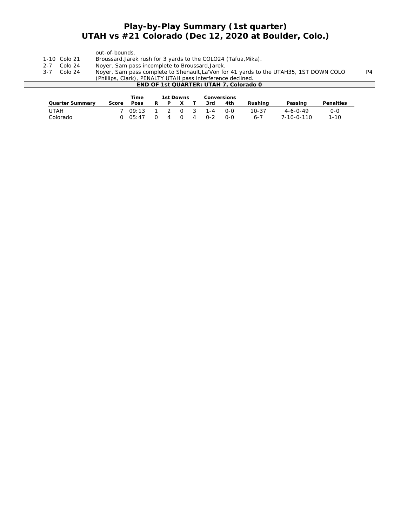### **Play-by-Play Summary (1st quarter) UTAH vs #21 Colorado (Dec 12, 2020 at Boulder, Colo.)**

|                                                                                                              |              | out-of-bounds.                                                 |  |  |  |  |  |  |  |  |
|--------------------------------------------------------------------------------------------------------------|--------------|----------------------------------------------------------------|--|--|--|--|--|--|--|--|
|                                                                                                              | 1-10 Colo 21 | Broussard, Jarek rush for 3 yards to the COLO24 (Tafua, Mika). |  |  |  |  |  |  |  |  |
| $2 - 7$                                                                                                      | Colo 24      | Nover, Sam pass incomplete to Broussard, Jarek.                |  |  |  |  |  |  |  |  |
| Noyer, Sam pass complete to Shenault, La'Von for 41 yards to the UTAH35, 1ST DOWN COLO<br>Colo 24<br>$3 - 7$ |              |                                                                |  |  |  |  |  |  |  |  |
|                                                                                                              |              | (Phillips, Clark), PENALTY UTAH pass interference declined.    |  |  |  |  |  |  |  |  |
| END OF 1st QUARTER: UTAH 7, Colorado 0                                                                       |              |                                                                |  |  |  |  |  |  |  |  |
|                                                                                                              |              |                                                                |  |  |  |  |  |  |  |  |
|                                                                                                              |              | Time<br>1st Downs<br>Conversions                               |  |  |  |  |  |  |  |  |

|                 |       | rime.               |        | TSL DOWNS      |                                     |       | Conversions |           |                    |           |  |
|-----------------|-------|---------------------|--------|----------------|-------------------------------------|-------|-------------|-----------|--------------------|-----------|--|
| Quarter Summarv | Score | <b>Poss</b>         | R      | P              |                                     | 3rd   | 4th         | Rushina   | Passing            | Penalties |  |
| UTAH            |       | 7 09:13 1 2 0 3 1-4 |        |                |                                     |       | റ-റ         | $10 - 37$ | $4 - 6 - 0 - 49$   | 0-0       |  |
| Colorado        |       | $0 \quad 05:47$     | $\cap$ | $\overline{4}$ | $\begin{matrix} 0 & 4 \end{matrix}$ | $O-2$ | 0-0         | $6 - 7$   | $7 - 10 - 0 - 110$ | 1-10      |  |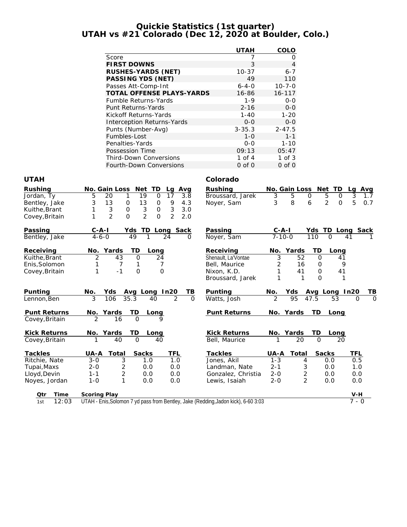#### **Quickie Statistics (1st quarter) UTAH vs #21 Colorado (Dec 12, 2020 at Boulder, Colo.)**

|                                   | <b>UTAH</b> | COLO         |
|-----------------------------------|-------------|--------------|
| Score                             |             | 0            |
| <b>FIRST DOWNS</b>                | 3           | 4            |
| RUSHES-YARDS (NET)                | $10 - 37$   | $6 - 7$      |
| PASSING YDS (NET)                 | 49          | 110          |
| Passes Att-Comp-Int               | $6 - 4 - 0$ | $10 - 7 - 0$ |
| TOTAL OFFENSE PLAYS-YARDS         | 16-86       | $16 - 117$   |
| <b>Fumble Returns-Yards</b>       | $1 - 9$     | $O-O$        |
| Punt Returns-Yards                | $2 - 16$    | $0 - 0$      |
| Kickoff Returns-Yards             | $1 - 40$    | $1 - 20$     |
| <b>Interception Returns-Yards</b> | $O-O$       | $0 - 0$      |
| Punts (Number-Avg)                | $3 - 35.3$  | $2 - 47.5$   |
| Fumbles-Lost                      | $1 - 0$     | $1 - 1$      |
| Penalties-Yards                   | $0 - 0$     | $1 - 10$     |
| Possession Time                   | 09:13       | 05:47        |
| <b>Third-Down Conversions</b>     | 1 of $4$    | $1$ of $3$   |
| Fourth-Down Conversions           | $0$ of $0$  | $0$ of $0$   |

#### **UTAH Colorado**

| Rushing<br>Jordan, Ty<br>Bentley, Jake<br>Kuithe, Brant<br>Covey, Britain | No. Gain Loss<br>Net<br><b>TD</b><br>Avg<br>La<br>19<br>20<br>$\Omega$<br>17<br>3.8<br>5<br>1<br>3<br>13<br>13<br>9<br>0<br>4.3<br>$\mathbf 0$<br>3<br>$\ensuremath{\mathsf{3}}$<br>$\sqrt{3}$<br>$\mathsf O$<br>3.0<br>0<br>$\overline{2}$<br>$\overline{2}$<br>$\overline{O}$<br>$\overline{2}$<br>$\Omega$<br>2.0 | Rushing<br>Broussard, Jarek<br>Noyer, Sam | No. Gain Loss<br>Net<br><b>TD</b><br>$\overline{3}$<br>$\overline{5}$<br>5<br>$\Omega$<br>8<br>$\overline{2}$<br>3<br>6 | Avg<br>La<br>3<br>$\Omega$<br>1.7<br>5<br>0.7<br>$\mathbf{O}$ |
|---------------------------------------------------------------------------|----------------------------------------------------------------------------------------------------------------------------------------------------------------------------------------------------------------------------------------------------------------------------------------------------------------------|-------------------------------------------|-------------------------------------------------------------------------------------------------------------------------|---------------------------------------------------------------|
| Passing                                                                   | $C - A - I$<br>Yds<br>TD<br>Sack<br>Long                                                                                                                                                                                                                                                                             | Passing                                   | Yds<br>TD.<br>$C-A-I$                                                                                                   | Sack<br>Long                                                  |
| Bentley, Jake                                                             | 49<br>$4 - 6 - 0$<br>1<br>24<br>$\Omega$                                                                                                                                                                                                                                                                             | Noyer, Sam                                | $7 - 10 - 0$<br>110<br>$\Omega$                                                                                         | 41                                                            |
| Receiving<br>Kuithe, Brant                                                | Yards<br>ТD<br>No.<br>Long<br>$\overline{2}$<br>43<br>$\circ$<br>24                                                                                                                                                                                                                                                  | Receiving<br>Shenault, La'Vontae          | Yards<br>TD<br>No.<br>Long<br>$\overline{3}$<br>$\overline{52}$<br>$\Omega$                                             | 41                                                            |
| Enis, Solomon                                                             | 7<br>1<br>7                                                                                                                                                                                                                                                                                                          | Bell, Maurice                             | 16<br>2<br>$\Omega$                                                                                                     | 9                                                             |
| Covey, Britain                                                            | $\mathbf 0$<br>$\Omega$<br>1<br>$-1$                                                                                                                                                                                                                                                                                 | Nixon, K.D.                               | 1<br>41<br>$\circ$                                                                                                      | 41                                                            |
|                                                                           |                                                                                                                                                                                                                                                                                                                      | Broussard, Jarek                          | 1<br>$\Omega$<br>1                                                                                                      |                                                               |
| Punting                                                                   | No.<br>Yds<br>In20<br>TВ<br>Avg Long                                                                                                                                                                                                                                                                                 | Punting                                   | No.<br>Yds<br>Avg<br>Long                                                                                               | TВ<br>In20                                                    |
| Lennon, Ben                                                               | 3<br>35.3<br>$\overline{2}$<br>$\Omega$<br>106<br>40                                                                                                                                                                                                                                                                 | Watts, Josh                               | $\overline{2}$<br>95<br>53<br>47.5                                                                                      | $\Omega$<br>$\Omega$                                          |
| <b>Punt Returns</b>                                                       | TD<br>Yards<br>No.<br>Long                                                                                                                                                                                                                                                                                           | <b>Punt Returns</b>                       | <b>TD</b><br>No. Yards<br>Long                                                                                          |                                                               |
| Covey, Britain                                                            | $\overline{2}$<br>$\mathbf 0$<br>16<br>9                                                                                                                                                                                                                                                                             |                                           |                                                                                                                         |                                                               |
| <b>Kick Returns</b>                                                       | No. Yards<br>TD<br>Long                                                                                                                                                                                                                                                                                              | <b>Kick Returns</b>                       | TD<br>No. Yards<br>Long                                                                                                 |                                                               |
| Covey, Britain                                                            | $\Omega$<br>40<br>40                                                                                                                                                                                                                                                                                                 | Bell, Maurice                             | 20<br>$\Omega$                                                                                                          | 20                                                            |
| Tackles                                                                   | <b>Sacks</b><br>TFL<br>Total<br>UA-A                                                                                                                                                                                                                                                                                 | Tackles                                   | Total<br>Sacks<br>UA-A                                                                                                  | TFL                                                           |
| Ritchie, Nate                                                             | 3<br>$3 - 0$<br>1.0<br>1.0                                                                                                                                                                                                                                                                                           | Jones, Akil                               | $1 - 3$<br>4<br>0.0                                                                                                     | 0.5                                                           |
| Tupai, Maxs                                                               | $\overline{c}$<br>$2 - 0$<br>0.0<br>0.0                                                                                                                                                                                                                                                                              | Landman, Nate                             | $2 - 1$<br>3<br>0.0                                                                                                     | 1.0                                                           |
| Lloyd, Devin                                                              | $\overline{2}$<br>$1 - 1$<br>0.0<br>0.0                                                                                                                                                                                                                                                                              | Gonzalez, Christia                        | $\overline{2}$<br>$2 - 0$<br>0.0                                                                                        | 0.0                                                           |
| Noyes, Jordan                                                             | 1<br>$1 - 0$<br>0.0<br>0.0                                                                                                                                                                                                                                                                                           | Lewis, Isaiah                             | $\overline{2}$<br>$2 - 0$<br>0.0                                                                                        | 0.0                                                           |
| Time<br>Qtr                                                               | Scoring Play                                                                                                                                                                                                                                                                                                         |                                           |                                                                                                                         | $V-H$                                                         |
| 12:03<br>1st                                                              | UTAH - Enis, Solomon 7 yd pass from Bentley, Jake (Redding, Jadon kick), 6-60 3:03                                                                                                                                                                                                                                   |                                           |                                                                                                                         | $7 - 0$                                                       |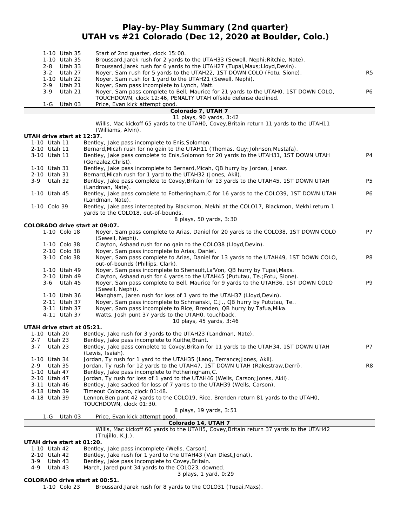### **Play-by-Play Summary (2nd quarter) UTAH vs #21 Colorado (Dec 12, 2020 at Boulder, Colo.)**

| 1-10 Utah 35                   | Start of 2nd quarter, clock 15:00.                                                                                                                              |                |
|--------------------------------|-----------------------------------------------------------------------------------------------------------------------------------------------------------------|----------------|
| 1-10 Utah 35<br>2-8<br>Utah 33 | Broussard, Jarek rush for 2 yards to the UTAH33 (Sewell, Nephi; Ritchie, Nate).<br>Broussard, Jarek rush for 6 yards to the UTAH27 (Tupai, Maxs; Lloyd, Devin). |                |
| $3 - 2$<br>Utah 27             | Noyer, Sam rush for 5 yards to the UTAH22, 1ST DOWN COLO (Fotu, Sione).                                                                                         | R <sub>5</sub> |
| 1-10 Utah 22                   | Noyer, Sam rush for 1 yard to the UTAH21 (Sewell, Nephi).                                                                                                       |                |
| $2 - 9$<br>Utah 21             | Noyer, Sam pass incomplete to Lynch, Matt.                                                                                                                      |                |
| $3 - 9$<br>Utah 21             | Noyer, Sam pass complete to Bell, Maurice for 21 yards to the UTAHO, 1ST DOWN COLO,                                                                             | P6             |
| $1-G$<br>Utah 03               | TOUCHDOWN, clock 12:46, PENALTY UTAH offside defense declined.<br>Price, Evan kick attempt good.                                                                |                |
|                                | Colorado 7, UTAH 7                                                                                                                                              |                |
|                                | 11 plays, 90 yards, 3:42                                                                                                                                        |                |
|                                | Willis, Mac kickoff 65 yards to the UTAHO, Covey, Britain return 11 yards to the UTAH11<br>(Williams, Alvin).                                                   |                |
| UTAH drive start at 12:37.     |                                                                                                                                                                 |                |
| 1-10 Utah 11                   | Bentley, Jake pass incomplete to Enis, Solomon.                                                                                                                 |                |
| 2-10 Utah 11                   | Bernard, Micah rush for no gain to the UTAH11 (Thomas, Guy; Johnson, Mustafa).                                                                                  |                |
| 3-10 Utah 11                   | Bentley, Jake pass complete to Enis, Solomon for 20 yards to the UTAH31, 1ST DOWN UTAH<br>(Gonzalez, Christ).                                                   | P4             |
| 1-10 Utah 31                   | Bentley, Jake pass incomplete to Bernard, Micah, QB hurry by Jordan, Janaz.                                                                                     |                |
| 2-10 Utah 31                   | Bernard, Micah rush for 1 yard to the UTAH32 (Jones, Akil).                                                                                                     |                |
| $3-9$<br>Utah 32               | Bentley, Jake pass complete to Covey, Britain for 13 yards to the UTAH45, 1ST DOWN UTAH                                                                         | P5             |
|                                | (Landman, Nate).                                                                                                                                                |                |
| 1-10 Utah 45                   | Bentley, Jake pass complete to Fotheringham, C for 16 yards to the COLO39, 1ST DOWN UTAH                                                                        | P6             |
| 1-10 Colo 39                   | (Landman, Nate).<br>Bentley, Jake pass intercepted by Blackmon, Mekhi at the COLO17, Blackmon, Mekhi return 1                                                   |                |
|                                | yards to the COLO18, out-of-bounds.                                                                                                                             |                |
|                                | 8 plays, 50 yards, 3:30                                                                                                                                         |                |
| COLORADO drive start at 09:07. |                                                                                                                                                                 |                |
| 1-10 Colo 18                   | Noyer, Sam pass complete to Arias, Daniel for 20 yards to the COLO38, 1ST DOWN COLO                                                                             | P7             |
| 1-10 Colo 38                   | (Sewell, Nephi).<br>Clayton, Ashaad rush for no gain to the COLO38 (Lloyd, Devin).                                                                              |                |
| 2-10 Colo 38                   | Noyer, Sam pass incomplete to Arias, Daniel.                                                                                                                    |                |
| 3-10 Colo 38                   | Noyer, Sam pass complete to Arias, Daniel for 13 yards to the UTAH49, 1ST DOWN COLO,                                                                            | P8             |
|                                | out-of-bounds (Phillips, Clark).                                                                                                                                |                |
| 1-10 Utah 49<br>2-10 Utah 49   | Noyer, Sam pass incomplete to Shenault, La'Von, QB hurry by Tupai, Maxs.<br>Clayton, Ashaad rush for 4 yards to the UTAH45 (Pututau, Te.; Fotu, Sione).         |                |
| 3-6 Utah 45                    | Noyer, Sam pass complete to Bell, Maurice for 9 yards to the UTAH36, 1ST DOWN COLO                                                                              | P9             |
|                                | (Sewell, Nephi).                                                                                                                                                |                |
| 1-10 Utah 36                   | Mangham, Jaren rush for loss of 1 yard to the UTAH37 (Lloyd, Devin).                                                                                            |                |
| 2-11 Utah 37                   | Noyer, Sam pass incomplete to Schmanski, C.J., QB hurry by Pututau, Te                                                                                          |                |
| 3-11 Utah 37<br>4-11 Utah 37   | Noyer, Sam pass incomplete to Rice, Brenden, QB hurry by Tafua, Mika.<br>Watts, Josh punt 37 yards to the UTAHO, touchback.                                     |                |
|                                | 10 plays, 45 yards, 3:46                                                                                                                                        |                |
| UTAH drive start at 05:21.     |                                                                                                                                                                 |                |
| 1-10 Utah 20                   | Bentley, Jake rush for 3 yards to the UTAH23 (Landman, Nate).                                                                                                   |                |
| $2 - 7$<br>Utah 23             | Bentley, Jake pass incomplete to Kuithe, Brant.                                                                                                                 |                |
| 3-7 Utah 23                    | Bentley, Jake pass complete to Covey, Britain for 11 yards to the UTAH34, 1ST DOWN UTAH<br>(Lewis, Isaiah).                                                     | P7             |
| 1-10 Utah 34                   | Jordan, Ty rush for 1 yard to the UTAH35 (Lang, Terrance; Jones, Akil).                                                                                         |                |
| 2-9<br>Utah 35                 | Jordan, Ty rush for 12 yards to the UTAH47, 1ST DOWN UTAH (Rakestraw, Derri).                                                                                   | R8             |
| 1-10 Utah 47                   | Bentley, Jake pass incomplete to Fotheringham, C.                                                                                                               |                |
| 2-10 Utah 47<br>3-11 Utah 46   | Jordan, Ty rush for loss of 1 yard to the UTAH46 (Wells, Carson; Jones, Akil).                                                                                  |                |
| 4-18 Utah 39                   | Bentley, Jake sacked for loss of 7 yards to the UTAH39 (Wells, Carson).<br>Timeout Colorado, clock 01:48.                                                       |                |
| 4-18 Utah 39                   | Lennon, Ben punt 42 yards to the COLO19, Rice, Brenden return 81 yards to the UTAH0,                                                                            |                |
|                                | TOUCHDOWN, clock 01:30.                                                                                                                                         |                |
|                                | 8 plays, 19 yards, 3:51                                                                                                                                         |                |
| Utah 03<br>1-G                 | Price, Evan kick attempt good.<br>Colorado 14, UTAH 7                                                                                                           |                |
|                                | Willis, Mac kickoff 60 yards to the UTAH5, Covey, Britain return 37 yards to the UTAH42                                                                         |                |
|                                | (Trujillo, K.J.).                                                                                                                                               |                |
| UTAH drive start at 01:20.     |                                                                                                                                                                 |                |
| 1-10 Utah 42<br>2-10 Utah 42   | Bentley, Jake pass incomplete (Wells, Carson).<br>Bentley, Jake rush for 1 yard to the UTAH43 (Van Diest, Jonat).                                               |                |
| Utah 43<br>3-9                 | Bentley, Jake pass incomplete to Covey, Britain.                                                                                                                |                |
| 4-9<br>Utah 43                 | March, Jared punt 34 yards to the COLO23, downed.                                                                                                               |                |
|                                | 3 plays, 1 yard, 0:29                                                                                                                                           |                |

**COLORADO drive start at 00:51.**

Broussard,Jarek rush for 8 yards to the COLO31 (Tupai,Maxs).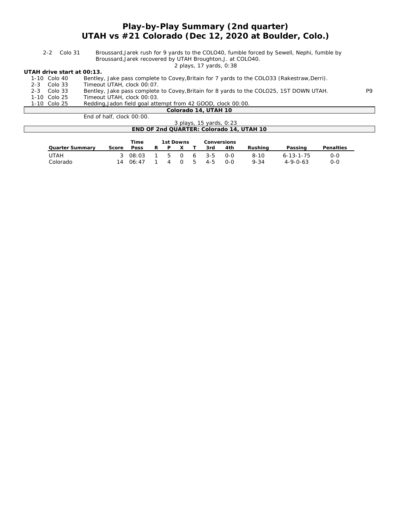### **Play-by-Play Summary (2nd quarter) UTAH vs #21 Colorado (Dec 12, 2020 at Boulder, Colo.)**

| 2-2 Colo 31 | Broussard, Jarek rush for 9 yards to the COLO40, fumble forced by Sewell, Nephi, fumble by |
|-------------|--------------------------------------------------------------------------------------------|
|             | Broussard, Jarek recovered by UTAH Broughton, J. at COLO40.                                |

*2 plays, 17 yards, 0:38*

**UTAH drive start at 00:13.**

| 1-10 Colo 40<br>2-3 Colo 33 | Bentley, Jake pass complete to Covey, Britain for 7 yards to the COLO33 (Rakestraw, Derri).<br>Timeout UTAH, clock 00:07. |     |
|-----------------------------|---------------------------------------------------------------------------------------------------------------------------|-----|
| 2-3 Colo 33                 | Bentley, Jake pass complete to Covey, Britain for 8 yards to the COLO25, 1ST DOWN UTAH.                                   | P9. |
| 1-10 Colo 25                | Timeout UTAH, clock 00:03.                                                                                                |     |
| 1-10 Colo 25                | Redding, Jadon field goal attempt from 42 GOOD, clock 00:00.                                                              |     |
|                             | Colorado 14, UTAH 10                                                                                                      |     |
|                             | End of half $\left($ clock $00:00$                                                                                        |     |

| end of nail.<br>- CIOCK UU:UU.           |
|------------------------------------------|
| 3 plavs, 15 vards, 0:23                  |
| END OF 2nd QUARTER: Colorado 14, UTAH 10 |
|                                          |

|                 |       | Time                |   | 1st Downs |          | Conversions |       |          |                   |           |
|-----------------|-------|---------------------|---|-----------|----------|-------------|-------|----------|-------------------|-----------|
| Quarter Summary | Score | Poss                | R | P         | $\times$ | 3rd         | 4th   | Rushina  | Passing           | Penalties |
| UTAH            |       | 3 08:03 1 5 0 6 3-5 |   |           |          |             | O-O   | $8 - 10$ | $6 - 13 - 1 - 75$ | ೧-೧       |
| Colorado        | 14    | . 06:47             |   |           | 4 0 5    | $4 - 5$     | $O-O$ | $9 - 34$ | $4 - 9 - 0 - 63$  | റ-റ       |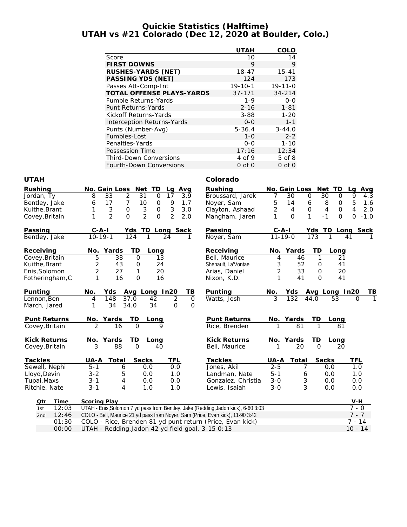#### **Quickie Statistics (Halftime) UTAH vs #21 Colorado (Dec 12, 2020 at Boulder, Colo.)**

|                                   | <b>UTAH</b>   | COLO          |
|-----------------------------------|---------------|---------------|
| Score                             | 10            | 14            |
| <b>FIRST DOWNS</b>                | 9             | 9             |
| RUSHES-YARDS (NET)                | $18 - 47$     | $15 - 41$     |
| PASSING YDS (NET)                 | 124           | 173           |
| Passes Att-Comp-Int               | $19 - 10 - 1$ | $19 - 11 - 0$ |
| <b>TOTAL OFFENSE PLAYS-YARDS</b>  | $37 - 171$    | $34 - 214$    |
| Fumble Returns-Yards              | $1 - 9$       | $O-O$         |
| Punt Returns-Yards                | $2 - 16$      | $1 - 81$      |
| Kickoff Returns-Yards             | $3 - 88$      | $1 - 20$      |
| <b>Interception Returns-Yards</b> | $0 - 0$       | $1 - 1$       |
| Punts (Number-Avg)                | $5 - 36.4$    | $3 - 44.0$    |
| Fumbles-Lost                      | $1 - 0$       | $2 - 2$       |
| Penalties-Yards                   | $0 - 0$       | $1 - 10$      |
| Possession Time                   | 17:16         | 12:34         |
| <b>Third-Down Conversions</b>     | 4 of 9        | $5$ of $8$    |
| Fourth-Down Conversions           | $0$ of $0$    | $0$ of $0$    |

#### **UTAH Colorado**

| Rushing<br>Jordan, Ty<br>Bentley, Jake<br>Kuithe, Brant<br>Covey, Britain        | No. Gain Loss<br>Net TD<br>Avg<br>Lg<br>$\overline{2}$<br>33<br>31<br>$\overline{O}$<br>17<br>8<br>3.9<br>17<br>7<br>10<br>$\mathsf{O}\xspace$<br>9<br>1.7<br>6<br>3<br>$\mathbf 0$<br>$\sqrt{3}$<br>3<br>3.0<br>1<br>$\mathsf{O}$<br>$\overline{2}$<br>2<br>$\overline{2}$<br>$\Omega$<br>$\mathsf{O}$<br>2.0<br>1 | Rushing<br>Broussard, Jarek<br>Noyer, Sam<br>Clayton, Ashaad<br>Mangham, Jaren    | No. Gain Loss<br>30<br>7<br>5<br>14<br>2<br>$\overline{4}$<br>$\Omega$<br>1   | Net TD<br>$\mathsf{O}$<br>30<br>0<br>8<br>6<br>O<br>$\mathbf 0$<br>$\mathbf 0$<br>4<br>1<br>$\mathbf{O}$<br>$-1$ | Avg<br>La<br>9<br>4.3<br>5<br>1.6<br>$\overline{4}$<br>2.0<br>$\Omega$<br>$-1.0$ |
|----------------------------------------------------------------------------------|---------------------------------------------------------------------------------------------------------------------------------------------------------------------------------------------------------------------------------------------------------------------------------------------------------------------|-----------------------------------------------------------------------------------|-------------------------------------------------------------------------------|------------------------------------------------------------------------------------------------------------------|----------------------------------------------------------------------------------|
| Passing<br>Bentley, Jake                                                         | $C - A - I$<br>Yds TD<br>Long Sack<br>$10 - 19 - 1$<br>$\overline{24}$<br>124<br>$\mathbf{1}$<br>1                                                                                                                                                                                                                  | Passing<br>Noyer, Sam                                                             | $C-A-I$<br>$11 - 19 - 0$                                                      | Yds TD<br>173                                                                                                    | Long Sack<br>41                                                                  |
| Receiving<br>Covey, Britain<br>Kuithe, Brant<br>Enis, Solomon<br>Fotheringham, C | TD<br>Yards<br>No.<br>Long<br>5<br>38<br>$\overline{O}$<br>13<br>$\overline{2}$<br>43<br>24<br>0<br>$\overline{2}$<br>27<br>20<br>1<br>1<br>$\overline{O}$<br>16<br>16                                                                                                                                              | Receiving<br>Bell, Maurice<br>Shenault, La'Vontae<br>Arias, Daniel<br>Nixon, K.D. | Yards<br>No.<br>46<br>4<br>3<br>52<br>$\overline{2}$<br>33<br>1<br>41         | TD<br>Long<br>1<br>21<br>41<br>$\mathbf 0$<br>20<br>$\Omega$<br>$\Omega$<br>41                                   |                                                                                  |
| Punting<br>Lennon, Ben<br>March, Jared                                           | No.<br>Avg Long In20<br>TВ<br>Yds<br>$\overline{2}$<br>148<br>37.0<br>$\mathbf 0$<br>42<br>4<br>34<br>34.0<br>34<br>$\Omega$<br>$\Omega$<br>1                                                                                                                                                                       | Punting<br>Watts, Josh                                                            | No.<br>Yds<br>3<br>132                                                        | Avg Long In20<br>44.0<br>53                                                                                      | TВ<br>$\Omega$                                                                   |
| Punt Returns<br>Covey, Britain                                                   | TD<br>No. Yards<br>Long<br>$\overline{2}$<br>$\Omega$<br>16<br>Q                                                                                                                                                                                                                                                    | Punt Returns<br>Rice, Brenden                                                     | No. Yards<br>$\overline{81}$                                                  | TD<br>Long<br>81                                                                                                 |                                                                                  |
| Kick Returns<br>Covey, Britain                                                   | TD<br>No. Yards<br>Long<br>3<br>$\Omega$<br>88<br>40                                                                                                                                                                                                                                                                | <b>Kick Returns</b><br>Bell, Maurice                                              | No. Yards<br>20                                                               | TD<br>Long<br>$\Omega$<br>20                                                                                     |                                                                                  |
| Tackles<br>Sewell, Nephi<br>Lloyd, Devin<br>Tupai, Maxs<br>Ritchie, Nate         | Sacks<br><b>TFL</b><br>Total<br>UA-A<br>$5 - 1$<br>0.0<br>0.0<br>6<br>$3 - 2$<br>5<br>0.0<br>1.0<br>0.0<br>0.0<br>$3 - 1$<br>4<br>4<br>$3 - 1$<br>1.0<br>1.0                                                                                                                                                        | Tackles<br>Jones, Akil<br>Landman, Nate<br>Gonzalez, Christia<br>Lewis, Isaiah    | UA-A<br>Total<br>$2 - 5$<br>7<br>$5 - 1$<br>6<br>3<br>$3 - 0$<br>3<br>$3 - 0$ | Sacks<br>0.0<br>0.0<br>0.0<br>0.0                                                                                | TFL<br>1.0<br>1.0<br>0.0<br>0.0                                                  |
| Otr<br>Time<br>12:03<br>1st<br>12:46<br>2nd<br>01:30<br>00:00                    | Scoring Play<br>UTAH - Enis, Solomon 7 yd pass from Bentley, Jake (Redding, Jadon kick), 6-60 3:03<br>COLO - Bell, Maurice 21 yd pass from Noyer, Sam (Price, Evan kick), 11-90 3:42<br>COLO - Rice, Brenden 81 yd punt return (Price, Evan kick)<br>UTAH - Redding, Jadon 42 yd field goal, 3-15 0:13              |                                                                                   |                                                                               |                                                                                                                  | $V-H$<br>$7 - 0$<br>$7 - 7$<br>$7 - 14$<br>$10 - 14$                             |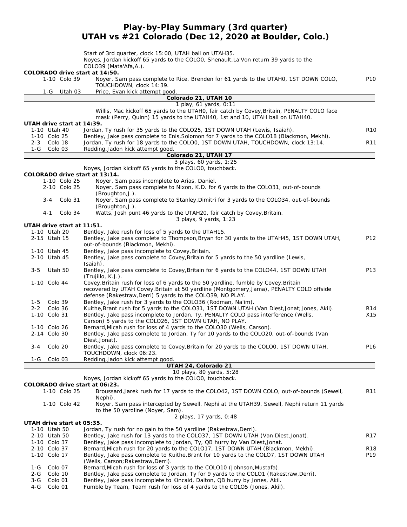### **Play-by-Play Summary (3rd quarter) UTAH vs #21 Colorado (Dec 12, 2020 at Boulder, Colo.)**

|                              |         |                            | Start of 3rd quarter, clock 15:00, UTAH ball on UTAH35.                                                                                                                 |                 |
|------------------------------|---------|----------------------------|-------------------------------------------------------------------------------------------------------------------------------------------------------------------------|-----------------|
|                              |         |                            | Noyes, Jordan kickoff 65 yards to the COLOO, Shenault, La'Von return 39 yards to the                                                                                    |                 |
|                              |         |                            | COLO39 (Mata'Afa,A.).                                                                                                                                                   |                 |
|                              |         | 1-10 Colo 39               | COLORADO drive start at 14:50.<br>Noyer, Sam pass complete to Rice, Brenden for 61 yards to the UTAHO, 1ST DOWN COLO,                                                   | P <sub>10</sub> |
|                              |         |                            | TOUCHDOWN, clock 14:39.                                                                                                                                                 |                 |
|                              |         | 1-G Utah 03                | Price, Evan kick attempt good.                                                                                                                                          |                 |
|                              |         |                            | Colorado 21, UTAH 10                                                                                                                                                    |                 |
|                              |         |                            | 1 play, 61 yards, 0:11                                                                                                                                                  |                 |
|                              |         |                            | Willis, Mac kickoff 65 yards to the UTAHO, fair catch by Covey, Britain, PENALTY COLO face                                                                              |                 |
|                              |         |                            | mask (Perry, Quinn) 15 yards to the UTAH40, 1st and 10, UTAH ball on UTAH40.                                                                                            |                 |
|                              |         | UTAH drive start at 14:39. |                                                                                                                                                                         |                 |
| 1-10 Utah 40<br>1-10 Colo 25 |         |                            | Jordan, Ty rush for 35 yards to the COLO25, 1ST DOWN UTAH (Lewis, Isaiah).<br>Bentley, Jake pass complete to Enis, Solomon for 7 yards to the COLO18 (Blackmon, Mekhi). | <b>R10</b>      |
| 2-3 Colo 18                  |         |                            | Jordan, Ty rush for 18 yards to the COLOO, 1ST DOWN UTAH, TOUCHDOWN, clock 13:14.                                                                                       | R <sub>11</sub> |
| 1-G                          | Colo 03 |                            | Redding, Jadon kick attempt good.                                                                                                                                       |                 |
|                              |         |                            | Colorado 21, UTAH 17                                                                                                                                                    |                 |
|                              |         |                            | 3 plays, 60 yards, 1:25                                                                                                                                                 |                 |
|                              |         |                            | Noyes, Jordan kickoff 65 yards to the COLOO, touchback.                                                                                                                 |                 |
|                              |         |                            | COLORADO drive start at 13:14.                                                                                                                                          |                 |
|                              |         | 1-10 Colo 25               | Noyer, Sam pass incomplete to Arias, Daniel.                                                                                                                            |                 |
|                              |         | 2-10 Colo 25               | Noyer, Sam pass complete to Nixon, K.D. for 6 yards to the COLO31, out-of-bounds                                                                                        |                 |
|                              |         |                            | (Broughton, J.).                                                                                                                                                        |                 |
|                              | $3 - 4$ | Colo 31                    | Noyer, Sam pass complete to Stanley, Dimitri for 3 yards to the COLO34, out-of-bounds<br>(Broughton, J.).                                                               |                 |
|                              | 4-1     | Colo 34                    | Watts, Josh punt 46 yards to the UTAH20, fair catch by Covey, Britain.                                                                                                  |                 |
|                              |         |                            | 3 plays, 9 yards, 1:23                                                                                                                                                  |                 |
|                              |         | UTAH drive start at 11:51. |                                                                                                                                                                         |                 |
| 1-10 Utah 20                 |         |                            | Bentley, Jake rush for loss of 5 yards to the UTAH15.                                                                                                                   |                 |
| 2-15 Utah 15                 |         |                            | Bentley, Jake pass complete to Thompson, Bryan for 30 yards to the UTAH45, 1ST DOWN UTAH,                                                                               | P12             |
|                              |         |                            | out-of-bounds (Blackmon, Mekhi).                                                                                                                                        |                 |
| 1-10 Utah 45                 |         |                            | Bentley, Jake pass incomplete to Covey, Britain.                                                                                                                        |                 |
| 2-10 Utah 45                 |         |                            | Bentley, Jake pass complete to Covey, Britain for 5 yards to the 50 yardline (Lewis,                                                                                    |                 |
|                              |         |                            | Isaiah).                                                                                                                                                                | P13             |
| $3 - 5$                      |         | Utah 50                    | Bentley, Jake pass complete to Covey, Britain for 6 yards to the COLO44, 1ST DOWN UTAH<br>(Trujillo, K.J.).                                                             |                 |
| 1-10 Colo 44                 |         |                            | Covey, Britain rush for loss of 6 yards to the 50 yardline, fumble by Covey, Britain                                                                                    |                 |
|                              |         |                            | recovered by UTAH Covey, Britain at 50 yardline (Montgomery, Jama), PENALTY COLO offside                                                                                |                 |
|                              |         |                            | defense (Rakestraw, Derri) 5 yards to the COLO39, NO PLAY.                                                                                                              |                 |
| 1-5                          | Colo 39 |                            | Bentley, Jake rush for 3 yards to the COLO36 (Rodman, Na'im).                                                                                                           |                 |
| 2-2                          | Colo 36 |                            | Kuithe, Brant rush for 5 yards to the COLO31, 1ST DOWN UTAH (Van Diest, Jonat; Jones, Akil).                                                                            | R <sub>14</sub> |
| 1-10 Colo 31                 |         |                            | Bentley, Jake pass incomplete to Jordan, Ty, PENALTY COLO pass interference (Wells,                                                                                     | X15             |
|                              |         |                            | Carson) 5 yards to the COLO26, 1ST DOWN UTAH, NO PLAY.                                                                                                                  |                 |
| 1-10 Colo 26                 |         |                            | Bernard, Micah rush for loss of 4 yards to the COLO30 (Wells, Carson).                                                                                                  |                 |
| 2-14 Colo 30                 |         |                            | Bentley, Jake pass complete to Jordan, Ty for 10 yards to the COLO20, out-of-bounds (Van                                                                                |                 |
| 3-4                          |         |                            | Diest, Jonat).<br>Bentley, Jake pass complete to Covey, Britain for 20 yards to the COLOO, 1ST DOWN UTAH,                                                               | P <sub>16</sub> |
|                              |         | Colo 20                    | TOUCHDOWN, clock 06:23.                                                                                                                                                 |                 |
| 1-G                          |         | Colo 03                    | Redding, Jadon kick attempt good.                                                                                                                                       |                 |
|                              |         |                            | UTAH 24, Colorado 21                                                                                                                                                    |                 |
|                              |         |                            | 10 plays, 80 yards, 5:28                                                                                                                                                |                 |
|                              |         |                            | Noyes, Jordan kickoff 65 yards to the COLO0, touchback.                                                                                                                 |                 |
|                              |         |                            | COLORADO drive start at 06:23.                                                                                                                                          |                 |
|                              |         | 1-10 Colo 25               | Broussard, Jarek rush for 17 yards to the COLO42, 1ST DOWN COLO, out-of-bounds (Sewell,                                                                                 | R <sub>11</sub> |
|                              |         |                            | Nephi).                                                                                                                                                                 |                 |
|                              |         | 1-10 Colo 42               | Noyer, Sam pass intercepted by Sewell, Nephi at the UTAH39, Sewell, Nephi return 11 yards                                                                               |                 |
|                              |         |                            | to the 50 yardline (Noyer, Sam).                                                                                                                                        |                 |
|                              |         | UTAH drive start at 05:35. | 2 plays, 17 yards, 0:48                                                                                                                                                 |                 |
| 1-10 Utah 50                 |         |                            | Jordan, Ty rush for no gain to the 50 yardline (Rakestraw, Derri).                                                                                                      |                 |
| 2-10 Utah 50                 |         |                            | Bentley, Jake rush for 13 yards to the COLO37, 1ST DOWN UTAH (Van Diest, Jonat).                                                                                        | R <sub>17</sub> |
| 1-10 Colo 37                 |         |                            | Bentley, Jake pass incomplete to Jordan, Ty, QB hurry by Van Diest, Jonat.                                                                                              |                 |
| 2-10 Colo 37                 |         |                            | Bernard, Micah rush for 20 yards to the COLO17, 1ST DOWN UTAH (Blackmon, Mekhi).                                                                                        | R <sub>18</sub> |
| 1-10 Colo 17                 |         |                            | Bentley, Jake pass complete to Kuithe, Brant for 10 yards to the COLO7, 1ST DOWN UTAH                                                                                   | P19             |
|                              |         |                            | (Wells, Carson; Rakestraw, Derri).                                                                                                                                      |                 |
| 1-G                          | Colo 07 |                            | Bernard, Micah rush for loss of 3 yards to the COLO10 (Johnson, Mustafa).                                                                                               |                 |
| 2-G                          | Colo 10 |                            | Bentley, Jake pass complete to Jordan, Ty for 9 yards to the COLO1 (Rakestraw, Derri).                                                                                  |                 |
| $3-G$                        | Colo 01 |                            | Bentley, Jake pass incomplete to Kincaid, Dalton, QB hurry by Jones, Akil.                                                                                              |                 |

4-G Colo 01 Fumble by Team, Team rush for loss of 4 yards to the COLO5 (Jones, Akil).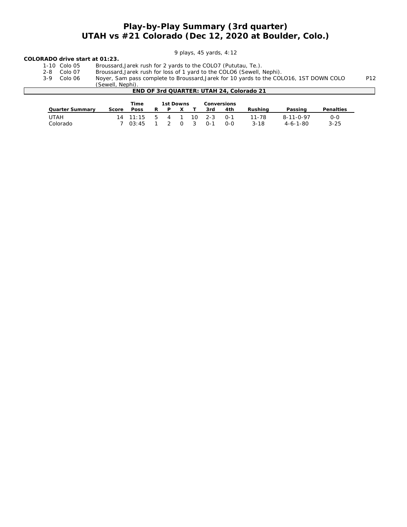### **Play-by-Play Summary (3rd quarter) UTAH vs #21 Colorado (Dec 12, 2020 at Boulder, Colo.)**

#### *9 plays, 45 yards, 4:12*

# **COLORADO drive start at 01:23.**

- Broussard, Jarek rush for 2 yards to the COLO7 (Pututau, Te.).
- 2-8 Colo 07 Broussard,Jarek rush for loss of 1 yard to the COLO6 (Sewell, Nephi).

3-9 Colo 06 Noyer, Sam pass complete to Broussard,Jarek for 10 yards to the COLO16, 1ST DOWN COLO P12

(Sewell, Nephi). **END OF 3rd QUARTER: UTAH 24, Colorado 21**

| Time<br>1st Downs |       |                |   |                | Conversions |              |         |       |          |                   |           |
|-------------------|-------|----------------|---|----------------|-------------|--------------|---------|-------|----------|-------------------|-----------|
| Quarter Summary   | Score | Poss           | R | D              |             |              | 3rd     | 4th   | Rushina  | Passing           | Penalties |
| UTAH              |       | $14$ $11:15$ 5 |   | $\overline{4}$ |             | 10 I         | $2 - 3$ | $O-1$ | 11-78    | $8 - 11 - 0 - 97$ | 0-0       |
| Colorado          |       | 7.03:45        |   |                | $\Omega$    | $\mathbf{3}$ | $0 - 1$ | 0-0   | $3 - 18$ | $4 - 6 - 1 - 80$  | $3 - 25$  |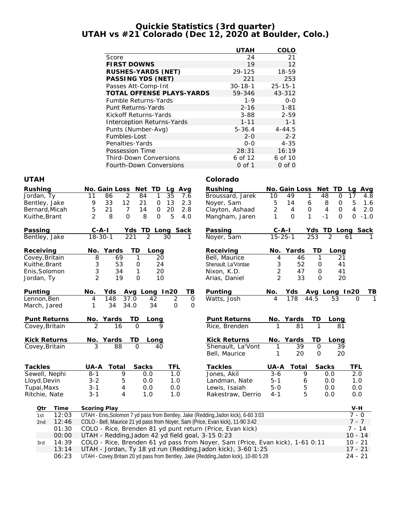#### **Quickie Statistics (3rd quarter) UTAH vs #21 Colorado (Dec 12, 2020 at Boulder, Colo.)**

|                                   | <b>UTAH</b>   | COLO          |
|-----------------------------------|---------------|---------------|
| Score                             | 24            | 21            |
| <b>FIRST DOWNS</b>                | 19            | 12            |
| RUSHES-YARDS (NET)                | 29-125        | 18-59         |
| PASSING YDS (NET)                 | 221           | 253           |
| Passes Att-Comp-Int               | $30 - 18 - 1$ | $25 - 15 - 1$ |
| <b>TOTAL OFFENSE PLAYS-YARDS</b>  | 59-346        | 43-312        |
| Fumble Returns-Yards              | $1 - 9$       | $O-O$         |
| Punt Returns-Yards                | $2 - 16$      | $1 - 81$      |
| Kickoff Returns-Yards             | $3 - 88$      | $2 - 59$      |
| <b>Interception Returns-Yards</b> | $1 - 11$      | $1 - 1$       |
| Punts (Number-Avg)                | $5 - 36.4$    | $4 - 44.5$    |
| Fumbles-Lost                      | $2 - 0$       | $2 - 2$       |
| Penalties-Yards                   | $0 - 0$       | $4 - 35$      |
| Possession Time                   | 28:31         | 16:19         |
| <b>Third-Down Conversions</b>     | 6 of 12       | 6 of 10       |
| Fourth-Down Conversions           | 0 of 1        | $0$ of $0$    |

#### **UTAH Colorado**

| Rushing             | No. Gain Loss<br>Net<br>TD<br>Avg<br>Lq                                               | Rushing             | No. Gain Loss                                   | Net<br>TD             | <u>Avg</u><br>La   |
|---------------------|---------------------------------------------------------------------------------------|---------------------|-------------------------------------------------|-----------------------|--------------------|
| Jordan, Ty          | 2<br>84<br>1<br>35<br>11<br>86<br>7.6                                                 | Broussard, Jarek    | 10<br>49<br>1                                   | 48<br>0               | 17<br>4.8          |
| Bentley, Jake       | 12<br>13<br>9<br>33<br>21<br>$\mathbf 0$<br>2.3                                       | Noyer, Sam          | 5<br>6<br>14                                    | 8<br>0                | 5<br>1.6           |
| Bernard, Micah      | 5<br>21<br>$\overline{7}$<br>14<br>$\mathsf{O}$<br>20<br>2.8                          | Clayton, Ashaad     | $\overline{2}$<br>$\overline{4}$<br>$\mathbf 0$ | 4<br>$\mathbf{O}$     | 4<br>2.0           |
| Kuithe, Brant       | $\overline{2}$<br>8<br>$\mathbf 0$<br>8<br>5<br>$\mathbf{O}$<br>4.0                   | Mangham, Jaren      | 1<br>1<br>$\Omega$                              | $\Omega$<br>$-1$      | $\Omega$<br>$-1.0$ |
| Passing             | $C - A - I$<br>TD Long Sack<br>Yds                                                    | Passing             | $C$ -A-I                                        | Yds<br>TD.            | Long Sack          |
| Bentley, Jake       | $\overline{2}$<br>$18 - 30 - 1$<br>221<br>30<br>1                                     | Noyer, Sam          | $15 - 25 - 1$                                   | $\overline{2}$<br>253 | 61                 |
| Receiving           | No. Yards<br>TD<br>Long                                                               | Receiving           | Yards<br>No.                                    | TD<br>Long            |                    |
| Covey, Britain      | 69<br>8<br>$\mathbf{1}$<br>20                                                         | Bell, Maurice       | 4<br>46                                         | 1<br>21               |                    |
| Kuithe, Brant       | 3<br>53<br>24<br>$\mathsf{O}\xspace$                                                  | Shenault, La'Vontae | 52<br>3                                         | $\mathbf 0$<br>41     |                    |
| Enis, Solomon       | 3<br>34<br>20<br>1                                                                    | Nixon, K.D.         | 2<br>47                                         | 41<br>$\mathcal{O}$   |                    |
| Jordan, Ty          | $\mathcal{P}$<br>19<br>$\Omega$<br>10                                                 | Arias, Daniel       | $\mathcal{P}$<br>33                             | 20<br>$\Omega$        |                    |
| Punting             | No.<br>Avg Long In20<br>TВ<br>Yds                                                     | Punting             | No.<br>Yds                                      | Avg Long In20         | ΤB                 |
| Lennon, Ben         | $\overline{2}$<br>148<br>37.0<br>42<br>$\overline{O}$<br>4                            | Watts, Josh         | 4<br>178                                        | 44.5<br>53            | O                  |
| March, Jared        | 34.0<br>$\Omega$<br>$\Omega$<br>34<br>34<br>1                                         |                     |                                                 |                       |                    |
| Punt Returns        | TD<br>No. Yards<br>Long                                                               | Punt Returns        | No. Yards                                       | TD<br>Long            |                    |
| Covey, Britain      | $\overline{2}$<br>16<br>$\Omega$<br>9                                                 | Rice, Brenden       | $\overline{81}$                                 | 1<br>81               |                    |
| <b>Kick Returns</b> | TD<br>Yards<br>No.<br>Long                                                            | <b>Kick Returns</b> | Yards<br>No.                                    | TD<br>Long            |                    |
| Covey, Britain      | 3<br>$\Omega$<br>88<br>40                                                             | Shenault, La'Vont   | 39<br>1                                         | $\mathsf{O}$<br>39    |                    |
|                     |                                                                                       | Bell, Maurice       | 20<br>1                                         | 20<br>$\mathbf 0$     |                    |
| Tackles             | UA-A Total<br>Sacks<br>TFL                                                            | Tackles             | UA-A<br>Total                                   | Sacks                 | TFL                |
| Sewell, Nephi       | 9<br>$8 - 1$<br>1.0<br>0.0                                                            | Jones, Akil         | $3 - 6$<br>9                                    | 0.0                   | 2.0                |
| Lloyd, Devin        | 5<br>$3 - 2$<br>0.0<br>1.0                                                            | Landman, Nate       | $5 - 1$<br>6                                    | 0.0                   | 1.0                |
| Tupai, Maxs         | $3 - 1$<br>4<br>0.0<br>0.0                                                            | Lewis, Isaiah       | $5 - 0$<br>5                                    | 0.0                   | 0.0                |
| Ritchie, Nate       | $3 - 1$<br>4<br>1.0<br>1.0                                                            | Rakestraw, Derrio   | 5<br>$4 - 1$                                    | 0.0                   | 0.0                |
| Time<br>Qtr         | Scoring Play                                                                          |                     |                                                 |                       | V-H                |
| 12:03<br>1st        | UTAH - Enis, Solomon 7 yd pass from Bentley, Jake (Redding, Jadon kick), 6-60 3:03    |                     |                                                 |                       | $7 - 0$            |
| 12:46<br>2nd        | COLO - Bell, Maurice 21 yd pass from Noyer, Sam (Price, Evan kick), 11-90 3:42        |                     |                                                 |                       | $7 - 7$            |
| 01:30               | COLO - Rice, Brenden 81 yd punt return (Price, Evan kick)                             |                     |                                                 |                       | $7 - 14$           |
| 00:00               | UTAH - Redding, Jadon 42 yd field goal, 3-15 0:23                                     |                     |                                                 |                       | $10 - 14$          |
| 14:39<br>3rd        | COLO - Rice, Brenden 61 yd pass from Noyer, Sam (Price, Evan kick), 1-61 0:11         |                     |                                                 |                       | $10 - 21$          |
| 13:14               | UTAH - Jordan, Ty 18 yd run (Redding, Jadon kick), 3-60 1:25                          |                     |                                                 |                       | $17 - 21$          |
| 06:23               | UTAH - Covey, Britain 20 yd pass from Bentley, Jake (Redding, Jadon kick), 10-80 5:28 |                     |                                                 |                       | $24 - 21$          |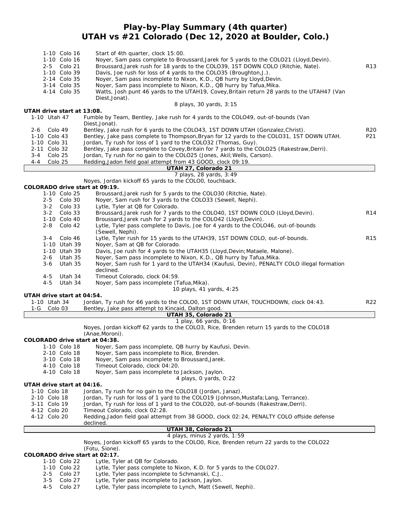### **Play-by-Play Summary (4th quarter) UTAH vs #21 Colorado (Dec 12, 2020 at Boulder, Colo.)**

| 1-10 Colo 16<br>1-10 Colo 16<br>2-5 Colo 21<br>1-10 Colo 39<br>2-14 Colo 35<br>3-14 Colo 35 | Start of 4th quarter, clock 15:00.<br>Noyer, Sam pass complete to Broussard, Jarek for 5 yards to the COLO21 (Lloyd, Devin).<br>Broussard, Jarek rush for 18 yards to the COLO39, 1ST DOWN COLO (Ritchie, Nate).<br>Davis, Joe rush for loss of 4 yards to the COLO35 (Broughton, J.).<br>Noyer, Sam pass incomplete to Nixon, K.D., QB hurry by Lloyd, Devin.<br>Noyer, Sam pass incomplete to Nixon, K.D., QB hurry by Tafua, Mika. | R13                    |
|---------------------------------------------------------------------------------------------|---------------------------------------------------------------------------------------------------------------------------------------------------------------------------------------------------------------------------------------------------------------------------------------------------------------------------------------------------------------------------------------------------------------------------------------|------------------------|
| 4-14 Colo 35                                                                                | Watts, Josh punt 46 yards to the UTAH19, Covey, Britain return 28 yards to the UTAH47 (Van<br>Diest, Jonat).<br>8 plays, 30 yards, 3:15                                                                                                                                                                                                                                                                                               |                        |
| UTAH drive start at 13:08.<br>1-10 Utah 47                                                  |                                                                                                                                                                                                                                                                                                                                                                                                                                       |                        |
|                                                                                             | Fumble by Team, Bentley, Jake rush for 4 yards to the COLO49, out-of-bounds (Van<br>Diest, Jonat).                                                                                                                                                                                                                                                                                                                                    |                        |
| Colo 49<br>2-6<br>1-10 Colo 43                                                              | Bentley, Jake rush for 6 yards to the COLO43, 1ST DOWN UTAH (Gonzalez, Christ).<br>Bentley, Jake pass complete to Thompson, Bryan for 12 yards to the COLO31, 1ST DOWN UTAH.                                                                                                                                                                                                                                                          | R <sub>20</sub><br>P21 |
| 1-10 Colo 31                                                                                | Jordan, Ty rush for loss of 1 yard to the COLO32 (Thomas, Guy).                                                                                                                                                                                                                                                                                                                                                                       |                        |
| 2-11 Colo 32                                                                                | Bentley, Jake pass complete to Covey, Britain for 7 yards to the COLO25 (Rakestraw, Derri).                                                                                                                                                                                                                                                                                                                                           |                        |
| $3 - 4$<br>Colo 25<br>Colo 25<br>4-4                                                        | Jordan, Ty rush for no gain to the COLO25 (Jones, Akil; Wells, Carson).<br>Redding, Jadon field goal attempt from 43 GOOD, clock 09:19.                                                                                                                                                                                                                                                                                               |                        |
|                                                                                             | UTAH 27, Colorado 21                                                                                                                                                                                                                                                                                                                                                                                                                  |                        |
|                                                                                             | 7 plays, 28 yards, 3:49                                                                                                                                                                                                                                                                                                                                                                                                               |                        |
|                                                                                             | Noyes, Jordan kickoff 65 yards to the COLO0, touchback.                                                                                                                                                                                                                                                                                                                                                                               |                        |
| COLORADO drive start at 09:19.<br>1-10 Colo 25                                              | Broussard, Jarek rush for 5 yards to the COLO30 (Ritchie, Nate).                                                                                                                                                                                                                                                                                                                                                                      |                        |
| $2 - 5$<br>Colo 30                                                                          | Noyer, Sam rush for 3 yards to the COLO33 (Sewell, Nephi).                                                                                                                                                                                                                                                                                                                                                                            |                        |
| $3 - 2$<br>Colo 33                                                                          | Lytle, Tyler at QB for Colorado.                                                                                                                                                                                                                                                                                                                                                                                                      |                        |
| $3 - 2$<br>Colo 33                                                                          | Broussard, Jarek rush for 7 yards to the COLO40, 1ST DOWN COLO (Lloyd, Devin).                                                                                                                                                                                                                                                                                                                                                        | R14                    |
| 1-10 Colo 40<br>$2 - 8$<br>Colo 42                                                          | Broussard, Jarek rush for 2 yards to the COLO42 (Lloyd, Devin).<br>Lytle, Tyler pass complete to Davis, Joe for 4 yards to the COLO46, out-of-bounds                                                                                                                                                                                                                                                                                  |                        |
|                                                                                             | (Sewell, Nephi).                                                                                                                                                                                                                                                                                                                                                                                                                      |                        |
| $3 - 4$<br>Colo 46                                                                          | Lytle, Tyler rush for 15 yards to the UTAH39, 1ST DOWN COLO, out-of-bounds.                                                                                                                                                                                                                                                                                                                                                           | R <sub>15</sub>        |
| 1-10 Utah 39                                                                                | Noyer, Sam at QB for Colorado.                                                                                                                                                                                                                                                                                                                                                                                                        |                        |
| 1-10 Utah 39<br>2-6<br>Utah 35                                                              | Davis, Joe rush for 4 yards to the UTAH35 (Lloyd, Devin; Mataele, Malone).<br>Noyer, Sam pass incomplete to Nixon, K.D., QB hurry by Tafua, Mika.                                                                                                                                                                                                                                                                                     |                        |
| $3 - 6$<br>Utah 35                                                                          | Noyer, Sam rush for 1 yard to the UTAH34 (Kaufusi, Devin), PENALTY COLO illegal formation                                                                                                                                                                                                                                                                                                                                             |                        |
|                                                                                             | declined.                                                                                                                                                                                                                                                                                                                                                                                                                             |                        |
| Utah 34<br>4-5                                                                              | Timeout Colorado, clock 04:59.                                                                                                                                                                                                                                                                                                                                                                                                        |                        |
| $4 - 5$<br>Utah 34                                                                          | Noyer, Sam pass incomplete (Tafua, Mika).<br>10 plays, 41 yards, 4:25                                                                                                                                                                                                                                                                                                                                                                 |                        |
| UTAH drive start at 04:54.                                                                  |                                                                                                                                                                                                                                                                                                                                                                                                                                       |                        |
| 1-10 Utah 34                                                                                | Jordan, Ty rush for 66 yards to the COLOO, 1ST DOWN UTAH, TOUCHDOWN, clock 04:43.                                                                                                                                                                                                                                                                                                                                                     | R22                    |
| $1-G$<br>Colo 03                                                                            | Bentley, Jake pass attempt to Kincaid, Dalton good.                                                                                                                                                                                                                                                                                                                                                                                   |                        |
|                                                                                             | UTAH 35, Colorado 21<br>1 play, 66 yards, 0:16                                                                                                                                                                                                                                                                                                                                                                                        |                        |
|                                                                                             | Noyes, Jordan kickoff 62 yards to the COLO3, Rice, Brenden return 15 yards to the COLO18                                                                                                                                                                                                                                                                                                                                              |                        |
|                                                                                             | (Anae, Moroni).                                                                                                                                                                                                                                                                                                                                                                                                                       |                        |
| COLORADO drive start at 04:38.                                                              |                                                                                                                                                                                                                                                                                                                                                                                                                                       |                        |
| 2-10 Colo 18                                                                                | 1-10 Colo 18 Noyer, Sam pass incomplete, QB hurry by Kaufusi, Devin.<br>Noyer, Sam pass incomplete to Rice, Brenden.                                                                                                                                                                                                                                                                                                                  |                        |
| 3-10 Colo 18                                                                                | Noyer, Sam pass incomplete to Broussard, Jarek.                                                                                                                                                                                                                                                                                                                                                                                       |                        |
| 4-10 Colo 18                                                                                | Timeout Colorado, clock 04:20.                                                                                                                                                                                                                                                                                                                                                                                                        |                        |
| 4-10 Colo 18                                                                                | Noyer, Sam pass incomplete to Jackson, Jaylon.                                                                                                                                                                                                                                                                                                                                                                                        |                        |
| UTAH drive start at 04:16.                                                                  | 4 plays, O yards, 0:22                                                                                                                                                                                                                                                                                                                                                                                                                |                        |
| 1-10 Colo 18                                                                                | Jordan, Ty rush for no gain to the COLO18 (Jordan, Janaz).                                                                                                                                                                                                                                                                                                                                                                            |                        |
| 2-10 Colo 18                                                                                | Jordan, Ty rush for loss of 1 yard to the COLO19 (Johnson, Mustafa; Lang, Terrance).                                                                                                                                                                                                                                                                                                                                                  |                        |
| 3-11 Colo 19                                                                                | Jordan, Ty rush for loss of 1 yard to the COLO20, out-of-bounds (Rakestraw, Derri).                                                                                                                                                                                                                                                                                                                                                   |                        |
| 4-12 Colo 20<br>4-12 Colo 20                                                                | Timeout Colorado, clock 02:28.<br>Redding, Jadon field goal attempt from 38 GOOD, clock 02:24, PENALTY COLO offside defense                                                                                                                                                                                                                                                                                                           |                        |
|                                                                                             | declined.                                                                                                                                                                                                                                                                                                                                                                                                                             |                        |
|                                                                                             | UTAH 38, Colorado 21                                                                                                                                                                                                                                                                                                                                                                                                                  |                        |
|                                                                                             | 4 plays, minus 2 yards, 1:59                                                                                                                                                                                                                                                                                                                                                                                                          |                        |
|                                                                                             | Noyes, Jordan kickoff 65 yards to the COLOO, Rice, Brenden return 22 yards to the COLO22<br>(Fotu, Sione).                                                                                                                                                                                                                                                                                                                            |                        |
| COLORADO drive start at 02:17.                                                              |                                                                                                                                                                                                                                                                                                                                                                                                                                       |                        |
| 1-10 Colo 22                                                                                | Lytle, Tyler at QB for Colorado.                                                                                                                                                                                                                                                                                                                                                                                                      |                        |
| 1-10 Colo 22                                                                                | Lytle, Tyler pass complete to Nixon, K.D. for 5 yards to the COLO27.                                                                                                                                                                                                                                                                                                                                                                  |                        |
| Colo 27<br>$2 - 5$<br>Colo 27<br>$3 - 5$                                                    | Lytle, Tyler pass incomplete to Schmanski, C.J<br>Lytle, Tyler pass incomplete to Jackson, Jaylon.                                                                                                                                                                                                                                                                                                                                    |                        |
| $4 - 5$<br>Colo 27                                                                          | Lytle, Tyler pass incomplete to Lynch, Matt (Sewell, Nephi).                                                                                                                                                                                                                                                                                                                                                                          |                        |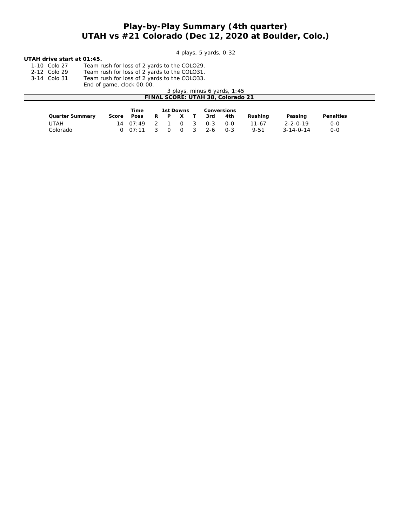### **Play-by-Play Summary (4th quarter) UTAH vs #21 Colorado (Dec 12, 2020 at Boulder, Colo.)**

*4 plays, 5 yards, 0:32*

#### **UTAH drive start at 01:45.**

1-10 Colo 27 Team rush for loss of 2 yards to the COLO29.

2-12 Colo 29 Team rush for loss of 2 yards to the COLO31. 3-14 Colo 31 Team rush for loss of 2 yards to the COLO33.

End of game, clock 00:00.

| 3 plays, minus 6 yards, 1:45      |       |       |           |  |             |  |         |       |           |                  |                  |  |  |
|-----------------------------------|-------|-------|-----------|--|-------------|--|---------|-------|-----------|------------------|------------------|--|--|
| FINAL SCORE: UTAH 38, Colorado 21 |       |       |           |  |             |  |         |       |           |                  |                  |  |  |
|                                   |       |       |           |  |             |  |         |       |           |                  |                  |  |  |
|                                   |       | Time  | 1st Downs |  | Conversions |  |         |       |           |                  |                  |  |  |
| Quarter Summary                   | Score | Poss  |           |  |             |  | 3rd     | 4th   | Rushina   | Passing          | <b>Penalties</b> |  |  |
| UTAH                              | 14    | 07:49 |           |  |             |  | $0 - 3$ | $O-O$ | $11 - 67$ | $2 - 2 - 0 - 19$ | 0-0              |  |  |

Colorado 0 07:11 3 0 0 3 2-6 0-3 9-51 3-14-0-14 0-0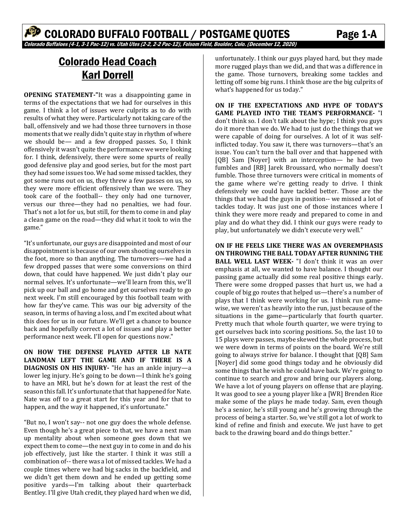# Colorado Head Coach Karl Dorrell

**OPENING STATEMENT‐"**It was a disappointing game in terms of the expectations that we had for ourselves in this game. I think a lot of issues were culprits as to do with results of what they were. Particularly not taking care of the ball, offensively and we had those three turnovers in those moments that we really didn't quite stay in rhythm of where we should be— and a few dropped passes. So, I think offensively it wasn't quite the performance we were looking for. I think, defensively, there were some spurts of really good defensive play and good series, but for the most part they had some issues too. We had some missed tackles, they got some runs out on us, they threw a few passes on us, so they were more efficient offensively than we were. They took care of the football-- they only had one turnover, versus our three—they had no penalties, we had four. That's not a lot for us, but still, for them to come in and play a clean game on the road—they did what it took to win the game."

"It's unfortunate, our guys are disappointed and most of our disappointment is because of our own shooting ourselves in the foot, more so than anything. The turnovers—we had a few dropped passes that were some conversions on third down, that could have happened. We just didn't play our normal selves. It's unfortunate—we'll learn from this, we'll pick up our ball and go home and get ourselves ready to go next week. I'm still encouraged by this football team with how far they've came. This was our big adversity of the season, in terms of having a loss, and I'm excited about what this does for us in our future. We'll get a chance to bounce back and hopefully correct a lot of issues and play a better performance next week. I'll open for questions now."

**ON HOW THE DEFENSE PLAYED AFTER LB NATE LANDMAN LEFT THE GAME AND IF THERE IS A DIAGNOSIS ON HIS INJURY‐** "He has an ankle injury—a lower leg injury. He's going to be down—I think he's going to have an MRI, but he's down for at least the rest of the season this fall. It's unfortunate that that happened for Nate. Nate was off to a great start for this year and for that to happen, and the way it happened, it's unfortunate."

"But no, I won't say-- not one guy does the whole defense. Even though he's a great piece to that, we have a next man up mentality about when someone goes down that we expect them to come—the next guy in to come in and do his job effectively, just like the starter. I think it was still a combination of-- there was a lot of missed tackles. We had a couple times where we had big sacks in the backfield, and we didn't get them down and he ended up getting some positive yards—I'm talking about their quarterback Bentley. I'll give Utah credit, they played hard when we did,

unfortunately. I think our guys played hard, but they made more rugged plays than we did, and that was a difference in the game. Those turnovers, breaking some tackles and letting off some big runs. I think those are the big culprits of what's happened for us today."

**ON IF THE EXPECTATIONS AND HYPE OF TODAY'S GAME PLAYED INTO THE TEAM'S PERFORMANCE‐**  "I don't think so. I don't talk about the hype; I think you guys do it more than we do. We had to just do the things that we were capable of doing for ourselves. A lot of it was selfinflicted today. You saw it, there was turnovers—that's an issue. You can't turn the ball over and that happened with [QB] Sam [Noyer] with an interception— he had two fumbles and [RB] Jarek Broussard, who normally doesn't fumble. Those three turnovers were critical in moments of the game where we're getting ready to drive. I think defensively we could have tackled better. Those are the things that we had the guys in position-- we missed a lot of tackles today. It was just one of those instances where I think they were more ready and prepared to come in and play and do what they did. I think our guys were ready to play, but unfortunately we didn't execute very well."

**ON IF HE FEELS LIKE THERE WAS AN OVEREMPHASIS ON THROWING THE BALL TODAY AFTER RUNNING THE BALL WELL LAST WEEK‐**  "I don't think it was an over emphasis at all, we wanted to have balance. I thought our passing game actually did some real positive things early. There were some dropped passes that hurt us, we had a couple of big go routes that helped us—there's a number of plays that I think were working for us. I think run gamewise, we weren't as heavily into the run, just because of the situations in the game—particularly that fourth quarter. Pretty much that whole fourth quarter, we were trying to get ourselves back into scoring positions. So, the last 10 to 15 plays were passes, maybe skewed the whole process, but we were down in terms of points on the board. We're still going to always strive for balance. I thought that [QB] Sam [Noyer] did some good things today and he obviously did some things that he wish he could have back. We're going to continue to search and grow and bring our players along. We have a lot of young players on offense that are playing. It was good to see a young player like a [WR] Brenden Rice make some of the plays he made today. Sam, even though he's a senior, he's still young and he's growing through the process of being a starter. So, we've still got a lot of work to kind of refine and finish and execute. We just have to get back to the drawing board and do things better."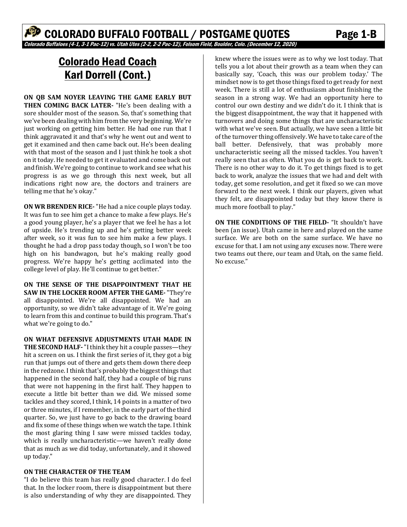# Colorado Head Coach Karl Dorrell (Cont.)

**ON QB SAM NOYER LEAVING THE GAME EARLY BUT THEN COMING BACK LATER‐** "He's been dealing with a sore shoulder most of the season. So, that's something that we've been dealing with him from the very beginning. We're just working on getting him better. He had one run that I think aggravated it and that's why he went out and went to get it examined and then came back out. He's been dealing with that most of the season and I just think he took a shot on it today. He needed to get it evaluated and come back out and finish. We're going to continue to work and see what his progress is as we go through this next week, but all indications right now are, the doctors and trainers are telling me that he's okay."

**ON WR BRENDEN RICE‐** "He had a nice couple plays today. It was fun to see him get a chance to make a few plays. He's a good young player, he's a player that we feel he has a lot of upside. He's trending up and he's getting better week after week, so it was fun to see him make a few plays. I thought he had a drop pass today though, so I won't be too high on his bandwagon, but he's making really good progress. We're happy he's getting acclimated into the college level of play. He'll continue to get better."

**ON THE SENSE OF THE DISAPPOINTMENT THAT HE SAW IN THE LOCKER ROOM AFTER THE GAME‐** "They're all disappointed. We're all disappointed. We had an opportunity, so we didn't take advantage of it. We're going to learn from this and continue to build this program. That's what we're going to do."

**ON WHAT DEFENSIVE ADJUSTMENTS UTAH MADE IN THE SECOND HALF‐** "I think they hit a couple passes—they hit a screen on us. I think the first series of it, they got a big run that jumps out of there and gets them down there deep in the redzone. I think that's probably the biggest things that happened in the second half, they had a couple of big runs that were not happening in the first half. They happen to execute a little bit better than we did. We missed some tackles and they scored, I think, 14 points in a matter of two or three minutes, if I remember, in the early part of the third quarter. So, we just have to go back to the drawing board and fix some of these things when we watch the tape. I think the most glaring thing I saw were missed tackles today, which is really uncharacteristic—we haven't really done that as much as we did today, unfortunately, and it showed up today."

#### **ON THE CHARACTER OF THE TEAM**

"I do believe this team has really good character. I do feel that. In the locker room, there is disappointment but there is also understanding of why they are disappointed. They

knew where the issues were as to why we lost today. That tells you a lot about their growth as a team when they can basically say, 'Coach, this was our problem today.' The mindset now is to get those things fixed to get ready for next week. There is still a lot of enthusiasm about finishing the season in a strong way. We had an opportunity here to control our own destiny and we didn't do it. I think that is the biggest disappointment, the way that it happened with turnovers and doing some things that are uncharacteristic with what we've seen. But actually, we have seen a little bit of the turnover thing offensively. We have to take care of the ball better. Defensively, that was probably more uncharacteristic seeing all the missed tackles. You haven't really seen that as often. What you do is get back to work. There is no other way to do it. To get things fixed is to get back to work, analyze the issues that we had and delt with today, get some resolution, and get it fixed so we can move forward to the next week. I think our players, given what they felt, are disappointed today but they know there is much more football to play."

**ON THE CONDITIONS OF THE FIELD‐** "It shouldn't have been (an issue). Utah came in here and played on the same surface. We are both on the same surface. We have no excuse for that. I am not using any excuses now. There were two teams out there, our team and Utah, on the same field. No excuse."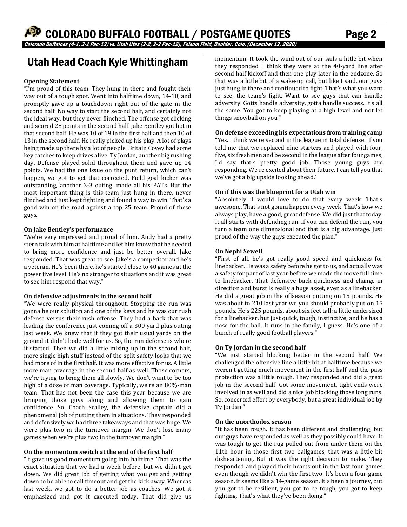# Utah Head Coach Kyle Whittingham

#### **Opening Statement**

"I'm proud of this team. They hung in there and fought their way out of a tough spot. Went into halftime down, 14-10, and promptly gave up a touchdown right out of the gate in the second half. No way to start the second half, and certainly not the ideal way, but they never flinched. The offense got clicking and scored 28 points in the second half. Jake Bentley got hot in that second half. He was 10 of 19 in the first half and then 10 of 13 in the second half. He really picked up his play. A lot of plays being made up there by a lot of people. Britain Covey had some key catches to keep drives alive. Ty Jordan, another big rushing day. Defense played solid throughout them and gave up 14 points. We had the one issue on the punt return, which can't happen, we got to get that corrected. Field goal kicker was outstanding, another 3-3 outing, made all his PATs. But the most important thing is this team just hung in there, never flinched and just kept fighting and found a way to win. That's a good win on the road against a top 25 team. Proud of these guys.

#### **On Jake Bentley's performance**

"We're very impressed and proud of him. Andy had a pretty stern talk with him at halftime and let him know that he needed to bring more confidence and just be better overall. Jake responded. That was great to see. Jake's a competitor and he's a veteran. He's been there, he's started close to 40 games at the power five level. He's no stranger to situations and it was great to see him respond that way."

#### **On defensive adjustments in the second half**

"We were really physical throughout. Stopping the run was gonna be our solution and one of the keys and he was our rush defense versus their rush offense. They had a back that was leading the conference just coming off a 300 yard plus outing last week. We knew that if they got their usual yards on the ground it didn't bode well for us. So, the run defense is where it started. Then we did a little mixing up in the second half, more single high stuff instead of the split safety looks that we had more of in the first half. It was more effective for us. A little more man coverage in the second half as well. Those corners, we're trying to bring them all slowly. We don't want to be too high of a dose of man coverage. Typically, we're an 80%-man team. That has not been the case this year because we are bringing those guys along and allowing them to gain confidence. So, Coach Scalley, the defensive captain did a phenomenal job of putting them in situations. They responded and defensively we had three takeaways and that was huge. We were plus two in the turnover margin. We don't lose many games when we're plus two in the turnover margin."

#### **On the momentum switch at the end of the first half**

"It gave us good momentum going into halftime. That was the exact situation that we had a week before, but we didn't get down. We did great job of getting what you get and getting down to be able to call timeout and get the kick away. Whereas last week, we got to do a better job as coaches. We got it emphasized and got it executed today. That did give us

momentum. It took the wind out of our sails a little bit when they responded. I think they were at the 40-yard line after second half kickoff and then one play later in the endzone. So that was a little bit of a wake-up call, but like I said, our guys just hung in there and continued to fight. That's what you want to see, the team's fight. Want to see guys that can handle adversity. Gotts handle adversity, gotta handle success. It's all the same. You got to keep playing at a high level and not let things snowball on you."

#### **On defense exceeding his expectations from training camp**

"Yes. I think we're second in the league in total defense. If you told me that we replaced nine starters and played with four, five, six freshmen and be second in the league after four games, I'd say that's pretty good job. Those young guys are responding. We're excited about their future. I can tell you that we've got a big upside looking ahead.'

#### **On if this was the blueprint for a Utah win**

"Absolutely. I would love to do that every week. That's awesome. That's not gonna happen every week. That's how we always play, have a good, great defense. We did just that today. It all starts with defending run. If you can defend the run, you turn a team one dimensional and that is a big advantage. Just proud of the way the guys executed the plan."

#### **On Nephi Sewell**

"First of all, he's got really good speed and quickness for linebacker. He was a safety before he got to us, and actually was a safety for part of last year before we made the move full time to linebacker. That defensive back quickness and change in direction and burst is really a huge asset, even as a linebacker. He did a great job in the offseason putting on 15 pounds. He was about to 210 last year we you should probably put on 15 pounds. He's 225 pounds, about six feet tall; a little undersized for a linebacker, but just quick, tough, instinctive, and he has a nose for the ball. It runs in the family, I guess. He's one of a bunch of really good football players."

#### **On Ty Jordan in the second half**

"We just started blocking better in the second half. We challenged the offensive line a little bit at halftime because we weren't getting much movement in the first half and the pass protection was a little rough. They responded and did a great job in the second half. Got some movement, tight ends were involved in as well and did a nice job blocking those long runs. So, concerted effort by everybody, but a great individual job by Ty Jordan."

#### **On the unorthodox season**

"It has been rough. It has been different and challenging, but our guys have responded as well as they possibly could have. It was tough to get the rug pulled out from under them on the 11th hour in those first two ballgames, that was a little bit disheartening. But it was the right decision to make. They responded and played their hearts out in the last four games even though we didn't win the first two. It's been a four-game season, it seems like a 14-game season. It's been a journey, but you got to be resilient, you got to be tough, you got to keep fighting. That's what they've been doing."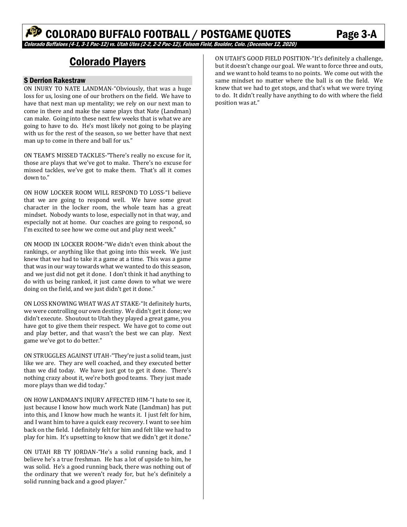# Colorado Players

#### S Derrion Rakestraw

ON INURY TO NATE LANDMAN-"Obviously, that was a huge loss for us, losing one of our brothers on the field. We have to have that next man up mentality; we rely on our next man to come in there and make the same plays that Nate (Landman) can make. Going into these next few weeks that is what we are going to have to do. He's most likely not going to be playing with us for the rest of the season, so we better have that next man up to come in there and ball for us."

ON TEAM'S MISSED TACKLES-"There's really no excuse for it, those are plays that we've got to make. There's no excuse for missed tackles, we've got to make them. That's all it comes down to."

ON HOW LOCKER ROOM WILL RESPOND TO LOSS-"I believe that we are going to respond well. We have some great character in the locker room, the whole team has a great mindset. Nobody wants to lose, especially not in that way, and especially not at home. Our coaches are going to respond, so I'm excited to see how we come out and play next week."

ON MOOD IN LOCKER ROOM-"We didn't even think about the rankings, or anything like that going into this week. We just knew that we had to take it a game at a time. This was a game that was in our way towards what we wanted to do this season, and we just did not get it done. I don't think it had anything to do with us being ranked, it just came down to what we were doing on the field, and we just didn't get it done."

ON LOSS KNOWING WHAT WAS AT STAKE-"It definitely hurts, we were controlling our own destiny. We didn't get it done; we didn't execute. Shoutout to Utah they played a great game, you have got to give them their respect. We have got to come out and play better, and that wasn't the best we can play. Next game we've got to do better."

ON STRUGGLES AGAINST UTAH-"They're just a solid team, just like we are. They are well coached, and they executed better than we did today. We have just got to get it done. There's nothing crazy about it, we're both good teams. They just made more plays than we did today."

ON HOW LANDMAN'S INJURY AFFECTED HIM-"I hate to see it, just because I know how much work Nate (Landman) has put into this, and I know how much he wants it. I just felt for him, and I want him to have a quick easy recovery. I want to see him back on the field. I definitely felt for him and felt like we had to play for him. It's upsetting to know that we didn't get it done."

ON UTAH RB TY JORDAN-"He's a solid running back, and I believe he's a true freshman. He has a lot of upside to him, he was solid. He's a good running back, there was nothing out of the ordinary that we weren't ready for, but he's definitely a solid running back and a good player."

ON UTAH'S GOOD FIELD POSITION-"It's definitely a challenge, but it doesn't change our goal. We want to force three and outs, and we want to hold teams to no points. We come out with the same mindset no matter where the ball is on the field. We knew that we had to get stops, and that's what we were trying to do. It didn't really have anything to do with where the field position was at."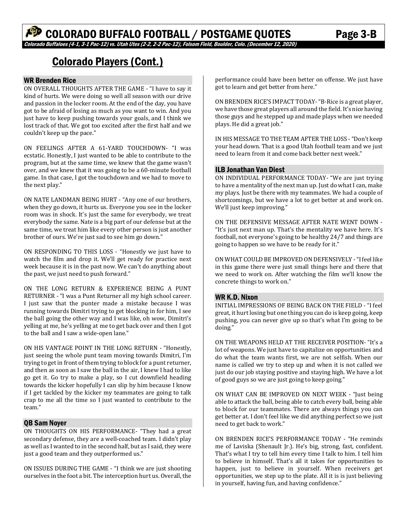# Colorado Players (Cont.)

#### WR Brenden Rice

ON OVERALL THOUGHTS AFTER THE GAME - "I have to say it kind of hurts. We were doing so well all season with our drive and passion in the locker room. At the end of the day, you have got to be afraid of losing as much as you want to win. And you just have to keep pushing towards your goals, and I think we lost track of that. We got too excited after the first half and we couldn't keep up the pace."

ON FEELINGS AFTER A 61-YARD TOUCHDOWN- "I was ecstatic. Honestly, I just wanted to be able to contribute to the program, but at the same time, we knew that the game wasn't over, and we knew that it was going to be a 60-minute football game. In that case, I got the touchdown and we had to move to the next play."

ON NATE LANDMAN BEING HURT - "Any one of our brothers, when they go down, it hurts us. Everyone you see in the locker room was in shock. It's just the same for everybody, we treat everybody the same. Nate is a big part of our defense but at the same time, we treat him like every other person is just another brother of ours. We're just sad to see him go down."

ON RESPONDING TO THIS LOSS - "Honestly we just have to watch the film and drop it. We'll get ready for practice next week because it is in the past now. We can't do anything about the past, we just need to push forward."

ON THE LONG RETURN & EXPERIENCE BEING A PUNT RETURNER - "I was a Punt Returner all my high school career. I just saw that the punter made a mistake because I was running towards Dimitri trying to get blocking in for him, I see the ball going the other way and I was like, oh wow, Dimitri's yelling at me, he's yelling at me to get back over and then I got to the ball and I saw a wide-open lane."

ON HIS VANTAGE POINT IN THE LONG RETURN - "Honestly, just seeing the whole punt team moving towards Dimitri, I'm trying to get in front of them trying to block for a punt returner, and then as soon as I saw the ball in the air, I knew I had to like go get it. Go try to make a play, so I cut downfield heading towards the kicker hopefully I can slip by him because I know if I get tackled by the kicker my teammates are going to talk crap to me all the time so I just wanted to contribute to the team."

#### QB Sam Noyer

ON THOUGHTS ON HIS PERFORMANCE- "They had a great secondary defense, they are a well-coached team. I didn't play as well as I wanted to in the second half, but as I said, they were just a good team and they outperformed us."

ON ISSUES DURING THE GAME - "I think we are just shooting ourselves in the foot a bit. The interception hurt us. Overall, the

performance could have been better on offense. We just have got to learn and get better from here."

ON BRENDEN RICE'S IMPACT TODAY- "B-Rice is a great player, we have those great players all around the field. It's nice having those guys and he stepped up and made plays when we needed plays. He did a great job."

IN HIS MESSAGE TO THE TEAM AFTER THE LOSS - "Don't keep your head down. That is a good Utah football team and we just need to learn from it and come back better next week."

#### ILB Jonathan Van Diest

ON INDIVIDUAL PERFORMANCE TODAY- "We are just trying to have a mentality of the next man up. Just do what I can, make my plays. Just be there with my teammates. We had a couple of shortcomings, but we have a lot to get better at and work on. We'll just keep improving."

ON THE DEFENSIVE MESSAGE AFTER NATE WENT DOWN - "It's just next man up. That's the mentality we have here. It's football, not everyone's going to be healthy 24/7 and things are going to happen so we have to be ready for it."

ON WHAT COULD BE IMPROVED ON DEFENSIVELY - "I feel like in this game there were just small things here and there that we need to work on. After watching the film we'll know the concrete things to work on."

#### WR K.D. Nixon

INITIAL IMPRESSIONS OF BEING BACK ON THE FIELD - "I feel great, it hurt losing but one thing you can do is keep going, keep pushing, you can never give up so that's what I'm going to be doing."

ON THE WEAPONS HELD AT THE RECEIVER POSITION- "It's a lot of weapons. We just have to capitalize on opportunities and do what the team wants first, we are not selfish. When our name is called we try to step up and when it is not called we just do our job staying positive and staying high. We have a lot of good guys so we are just going to keep going."

ON WHAT CAN BE IMPROVED ON NEXT WEEK - "Just being able to attack the ball, being able to catch every ball, being able to block for our teammates. There are always things you can get better at. I don't feel like we did anything perfect so we just need to get back to work."

ON BRENDEN RICE'S PERFORMANCE TODAY - "He reminds me of Laviska (Shenault Jr.). He's big, strong, fast, confident. That's what I try to tell him every time I talk to him. I tell him to believe in himself. That's all it takes for opportunities to happen, just to believe in yourself. When receivers get opportunities, we step up to the plate. All it is is just believing in yourself, having fun, and having confidence."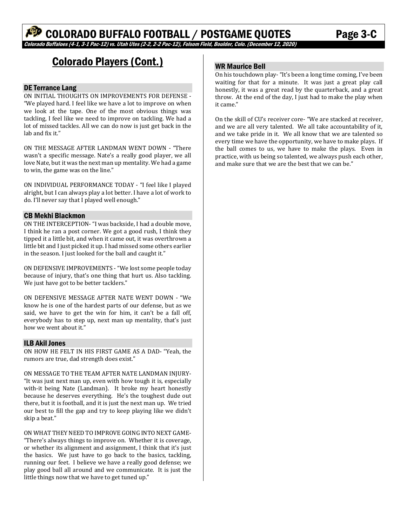# Colorado Players (Cont.)

#### DE Terrance Lang

ON INITIAL THOUGHTS ON IMPROVEMENTS FOR DEFENSE - "We played hard. I feel like we have a lot to improve on when we look at the tape. One of the most obvious things was tackling, I feel like we need to improve on tackling. We had a lot of missed tackles. All we can do now is just get back in the lab and fix it."

ON THE MESSAGE AFTER LANDMAN WENT DOWN - "There wasn't a specific message. Nate's a really good player, we all love Nate, but it was the next man up mentality. We had a game to win, the game was on the line."

ON INDIVIDUAL PERFORMANCE TODAY - "I feel like I played alright, but I can always play a lot better. I have a lot of work to do. I'll never say that I played well enough."

#### CB Mekhi Blackmon

ON THE INTERCEPTION- "I was backside, I had a double move, I think he ran a post corner. We got a good rush, I think they tipped it a little bit, and when it came out, it was overthrown a little bit and I just picked it up. I had missed some others earlier in the season. I just looked for the ball and caught it."

ON DEFENSIVE IMPROVEMENTS - "We lost some people today because of injury, that's one thing that hurt us. Also tackling. We just have got to be better tacklers."

ON DEFENSIVE MESSAGE AFTER NATE WENT DOWN - "We know he is one of the hardest parts of our defense, but as we said, we have to get the win for him, it can't be a fall off, everybody has to step up, next man up mentality, that's just how we went about it."

#### ILB Akil Jones

ON HOW HE FELT IN HIS FIRST GAME AS A DAD- "Yeah, the rumors are true, dad strength does exist."

ON MESSAGE TO THE TEAM AFTER NATE LANDMAN INJURY- "It was just next man up, even with how tough it is, especially with-it being Nate (Landman). It broke my heart honestly because he deserves everything. He's the toughest dude out there, but it is football, and it is just the next man up. We tried our best to fill the gap and try to keep playing like we didn't skip a beat."

ON WHAT THEY NEED TO IMPROVE GOING INTO NEXT GAME-

"There's always things to improve on. Whether it is coverage, or whether its alignment and assignment, I think that it's just the basics. We just have to go back to the basics, tackling, running our feet. I believe we have a really good defense; we play good ball all around and we communicate. It is just the little things now that we have to get tuned up."

#### WR Maurice Bell

On his touchdown play- "It's been a long time coming, I've been waiting for that for a minute. It was just a great play call honestly, it was a great read by the quarterback, and a great throw. At the end of the day, I just had to make the play when it came."

On the skill of CU's receiver core- "We are stacked at receiver, and we are all very talented. We all take accountability of it, and we take pride in it. We all know that we are talented so every time we have the opportunity, we have to make plays. If the ball comes to us, we have to make the plays. Even in practice, with us being so talented, we always push each other, and make sure that we are the best that we can be."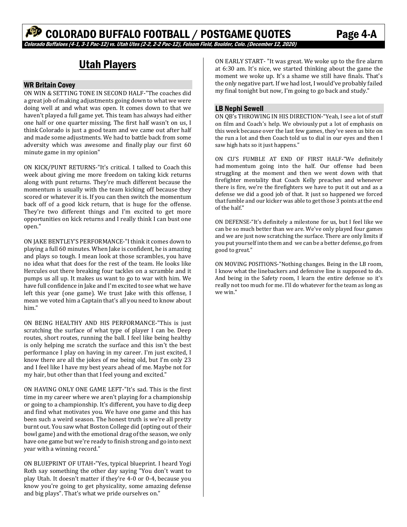## Utah Players

#### WR Britain Covey

ON WIN & SETTING TONE IN SECOND HALF-"The coaches did a great job of making adjustments going down to what we were doing well at and what was open. It comes down to that we haven't played a full game yet. This team has always had either one half or one quarter missing. The first half wasn't on us, I think Colorado is just a good team and we came out after half and made some adjustments. We had to battle back from some adversity which was awesome and finally play our first 60 minute game in my opinion"

ON KICK/PUNT RETURNS-"It's critical. I talked to Coach this week about giving me more freedom on taking kick returns along with punt returns. They're much different because the momentum is usually with the team kicking off because they scored or whatever it is. If you can then switch the momentum back off of a good kick return, that is huge for the offense. They're two different things and I'm excited to get more opportunities on kick returns and I really think I can bust one open."

ON JAKE BENTLEY'S PERFORMANCE-"I think it comes down to playing a full 60 minutes. When Jake is confident, he is amazing and plays so tough. I mean look at those scrambles, you have no idea what that does for the rest of the team. He looks like Hercules out there breaking four tackles on a scramble and it pumps us all up. It makes us want to go to war with him. We have full confidence in Jake and I'm excited to see what we have left this year (one game). We trust Jake with this offense, I mean we voted him a Captain that's all you need to know about him."

ON BEING HEALTHY AND HIS PERFORMANCE-"This is just scratching the surface of what type of player I can be. Deep routes, short routes, running the ball. I feel like being healthy is only helping me scratch the surface and this isn't the best performance I play on having in my career. I'm just excited, I know there are all the jokes of me being old, but I'm only 23 and I feel like I have my best years ahead of me. Maybe not for my hair, but other than that I feel young and excited."

ON HAVING ONLY ONE GAME LEFT-"It's sad. This is the first time in my career where we aren't playing for a championship or going to a championship. It's different, you have to dig deep and find what motivates you. We have one game and this has been such a weird season. The honest truth is we're all pretty burnt out. You saw what Boston College did (opting out of their bowl game) and with the emotional drag of the season, we only have one game but we're ready to finish strong and go into next year with a winning record."

ON BLUEPRINT OF UTAH**‐**"Yes, typical blueprint. I heard Yogi Roth say something the other day saying "You don't want to play Utah. It doesn't matter if they're 4-0 or 0-4, because you know you're going to get physicality, some amazing defense and big plays". That's what we pride ourselves on."

ON EARLY START- "It was great. We woke up to the fire alarm at 6:30 am. It's nice, we started thinking about the game the moment we woke up. It's a shame we still have finals. That's the only negative part. If we had lost, I would've probably failed my final tonight but now, I'm going to go back and study."

#### LB Nephi Sewell

ON QB's THROWING IN HIS DIRECTION-"Yeah, I see a lot of stuff on film and Coach's help. We obviously put a lot of emphasis on this week because over the last few games, they've seen us bite on the run a lot and then Coach told us to dial in our eyes and then I saw high hats so it just happens."

ON CU'S FUMBLE AT END OF FIRST HALF-"We definitely had momentum going into the half. Our offense had been struggling at the moment and then we went down with that firefighter mentality that Coach Kelly preaches and whenever there is fire, we're the firefighters we have to put it out and as a defense we did a good job of that. It just so happened we forced that fumble and our kicker was able to get those 3 points at the end of the half."

ON DEFENSE-"It's definitely a milestone for us, but I feel like we can be so much better than we are. We've only played four games and we are just now scratching the surface. There are only limits if you put yourself into them and we can be a better defense, go from good to great."

ON MOVING POSITIONS-"Nothing changes. Being in the LB room, I know what the linebackers and defensive line is supposed to do. And being in the Safety room, I learn the entire defense so it's really not too much for me. I'll do whatever for the team as long as we win."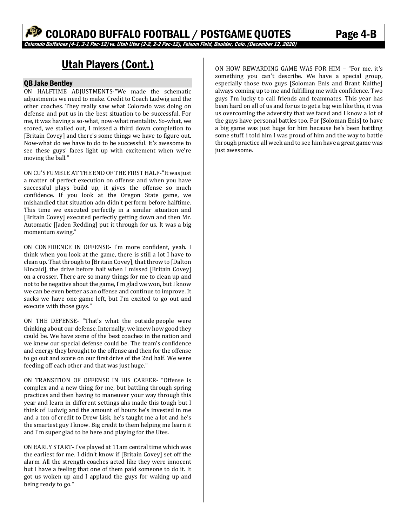# Utah Players (Cont.)

#### QB Jake Bentley

ON HALFTIME ADJUSTMENTS-"We made the schematic adjustments we need to make. Credit to Coach Ludwig and the other coaches. They really saw what Colorado was doing on defense and put us in the best situation to be successful. For me, it was having a so-what, now-what mentality. So-what, we scored, we stalled out, I missed a third down completion to [Britain Covey] and there's some things we have to figure out. Now-what do we have to do to be successful. It's awesome to see these guys' faces light up with excitement when we're moving the ball."

ON CU'S FUMBLE AT THE END OF THE FIRST HALF-"It was just a matter of perfect execution on offense and when you have successful plays build up, it gives the offense so much confidence. If you look at the Oregon State game, we mishandled that situation adn didn't perform before halftime. This time we executed perfectly in a similar situation and [Britain Covey] executed perfectly getting down and then Mr. Automatic [Jaden Redding] put it through for us. It was a big momentum swing."

ON CONFIDENCE IN OFFENSE- I'm more confident, yeah. I think when you look at the game, there is still a lot I have to clean up. That through to [Britain Covey], that throw to [Dalton Kincaid], the drive before half when I missed [Britain Covey] on a crosser. There are so many things for me to clean up and not to be negative about the game, I'm glad we won, but I know we can be even better as an offense and continue to improve. It sucks we have one game left, but I'm excited to go out and execute with those guys."

ON THE DEFENSE- "That's what the outside people were thinking about our defense. Internally, we knew how good they could be. We have some of the best coaches in the nation and we knew our special defense could be. The team's confidence and energy they brought to the offense and then for the offense to go out and score on our first drive of the 2nd half. We were feeding off each other and that was just huge."

ON TRANSITION OF OFFENSE IN HIS CAREER- "Offense is complex and a new thing for me, but battling through spring practices and then having to maneuver your way through this year and learn in different settings ahs made this tough but I think of Ludwig and the amount of hours he's invested in me and a ton of credit to Drew Lisk, he's taught me a lot and he's the smartest guy I know. Big credit to them helping me learn it and I'm super glad to be here and playing for the Utes.

ON EARLY START- I've played at 11am central time which was the earliest for me. I didn't know if [Britain Covey] set off the alarm. All the strength coaches acted like they were innocent but I have a feeling that one of them paid someone to do it. It got us woken up and I applaud the guys for waking up and being ready to go."

ON HOW REWARDING GAME WAS FOR HIM – "For me, it's something you can't describe. We have a special group, especially those two guys [Soloman Enis and Brant Kuithe] always coming up to me and fulfilling me with confidence. Two guys I'm lucky to call friends and teammates. This year has been hard on all of us and for us to get a big win like this, it was us overcoming the adversity that we faced and I know a lot of the guys have personal battles too. For [Soloman Enis] to have a big game was just huge for him because he's been battling some stuff. i told him I was proud of him and the way to battle through practice all week and to see him have a great game was just awesome.